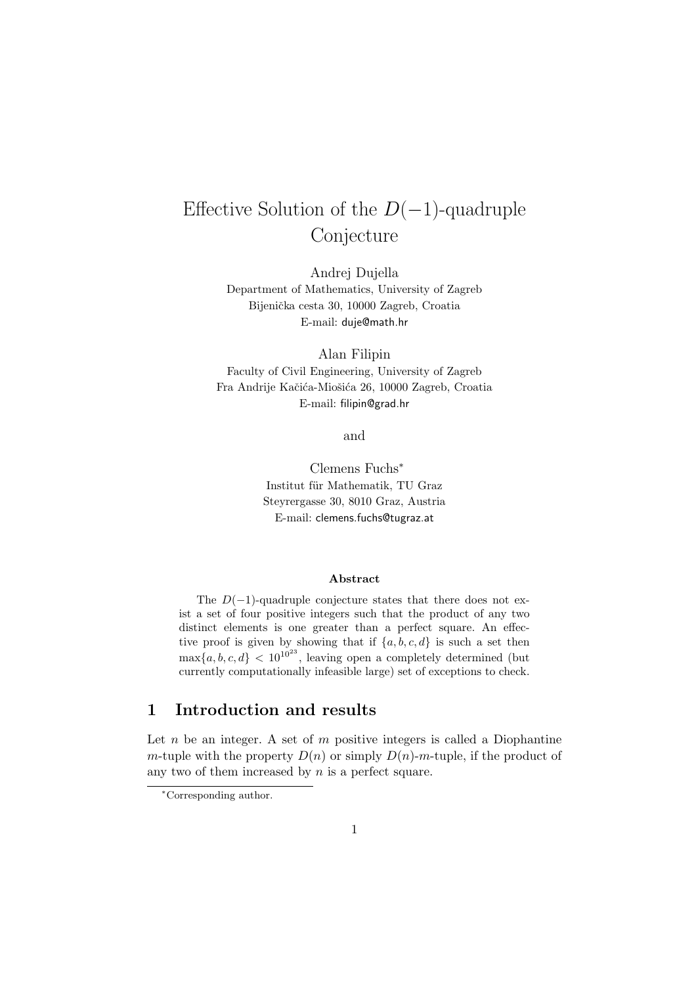# Effective Solution of the  $D(-1)$ -quadruple Conjecture

Andrej Dujella Department of Mathematics, University of Zagreb Bijenička cesta 30, 10000 Zagreb, Croatia E-mail: duje@math.hr

Alan Filipin Faculty of Civil Engineering, University of Zagreb Fra Andrije Kačića-Miošića 26, 10000 Zagreb, Croatia E-mail: filipin@grad.hr

and

Clemens Fuchs<sup>∗</sup> Institut für Mathematik, TU Graz Steyrergasse 30, 8010 Graz, Austria E-mail: clemens.fuchs@tugraz.at

#### Abstract

The  $D(-1)$ -quadruple conjecture states that there does not exist a set of four positive integers such that the product of any two distinct elements is one greater than a perfect square. An effective proof is given by showing that if  $\{a, b, c, d\}$  is such a set then  $\max\{a, b, c, d\}$  <  $10^{10^{23}}$ , leaving open a completely determined (but currently computationally infeasible large) set of exceptions to check.

# 1 Introduction and results

Let  $n$  be an integer. A set of  $m$  positive integers is called a Diophantine m-tuple with the property  $D(n)$  or simply  $D(n)$ -m-tuple, if the product of any two of them increased by  $n$  is a perfect square.

<sup>∗</sup>Corresponding author.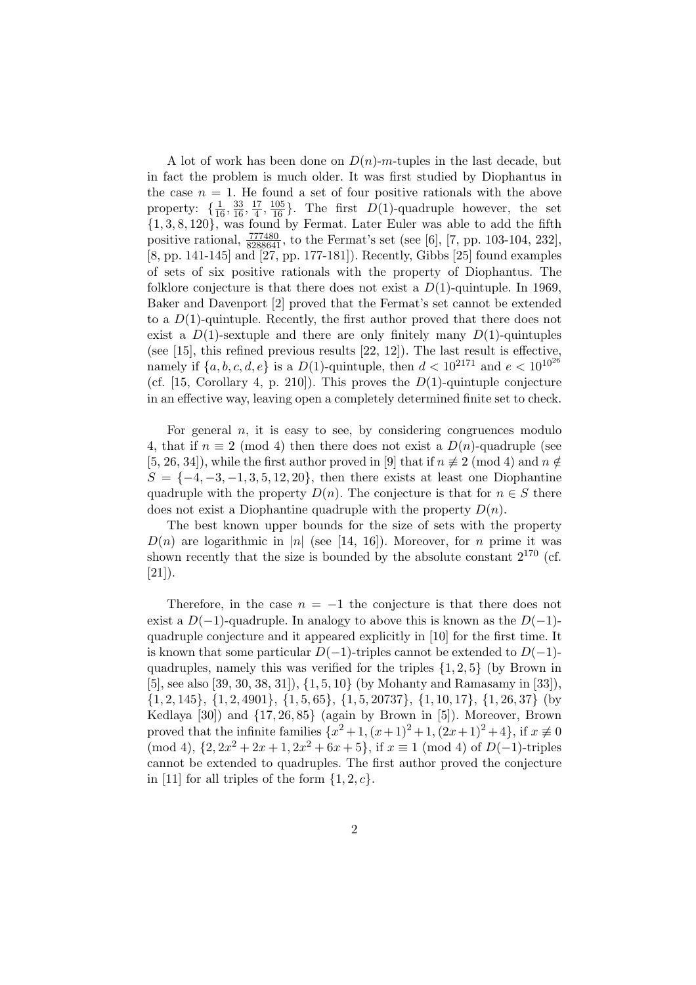A lot of work has been done on  $D(n)$ -m-tuples in the last decade, but in fact the problem is much older. It was first studied by Diophantus in the case  $n = 1$ . He found a set of four positive rationals with the above property:  $\{\frac{1}{16}, \frac{33}{16}, \frac{17}{4}\}$  $\frac{17}{4}, \frac{105}{16}$ . The first  $D(1)$ -quadruple however, the set  $\{1, 3, 8, 120\}$ , was found by Fermat. Later Euler was able to add the fifth positive rational,  $\frac{777480}{8288641}$ , to the Fermat's set (see [6], [7, pp. 103-104, 232], [8, pp. 141-145] and [27, pp. 177-181]). Recently, Gibbs [25] found examples of sets of six positive rationals with the property of Diophantus. The folklore conjecture is that there does not exist a  $D(1)$ -quintuple. In 1969, Baker and Davenport [2] proved that the Fermat's set cannot be extended to a  $D(1)$ -quintuple. Recently, the first author proved that there does not exist a  $D(1)$ -sextuple and there are only finitely many  $D(1)$ -quintuples (see [15], this refined previous results [22, 12]). The last result is effective, namely if  $\{a, b, c, d, e\}$  is a  $D(1)$ -quintuple, then  $d < 10^{2171}$  and  $e < 10^{10^{26}}$ (cf. [15, Corollary 4, p. 210]). This proves the  $D(1)$ -quintuple conjecture in an effective way, leaving open a completely determined finite set to check.

For general  $n$ , it is easy to see, by considering congruences modulo 4, that if  $n \equiv 2 \pmod{4}$  then there does not exist a  $D(n)$ -quadruple (see [5, 26, 34]), while the first author proved in [9] that if  $n \neq 2 \pmod{4}$  and  $n \notin \mathbb{Z}$  $S = \{-4, -3, -1, 3, 5, 12, 20\}$ , then there exists at least one Diophantine quadruple with the property  $D(n)$ . The conjecture is that for  $n \in S$  there does not exist a Diophantine quadruple with the property  $D(n)$ .

The best known upper bounds for the size of sets with the property  $D(n)$  are logarithmic in |n| (see [14, 16]). Moreover, for n prime it was shown recently that the size is bounded by the absolute constant  $2^{170}$  (cf.  $[21]$ ).

Therefore, in the case  $n = -1$  the conjecture is that there does not exist a  $D(-1)$ -quadruple. In analogy to above this is known as the  $D(-1)$ quadruple conjecture and it appeared explicitly in [10] for the first time. It is known that some particular  $D(-1)$ -triples cannot be extended to  $D(-1)$ quadruples, namely this was verified for the triples  $\{1, 2, 5\}$  (by Brown in [5], see also [39, 30, 38, 31]), {1, 5, 10} (by Mohanty and Ramasamy in [33]), {1, 2, 145}, {1, 2, 4901}, {1, 5, 65}, {1, 5, 20737}, {1, 10, 17}, {1, 26, 37} (by Kedlaya [30]) and {17, 26, 85} (again by Brown in [5]). Moreover, Brown proved that the infinite families  $\{x^2 + 1, (x+1)^2 + 1, (2x+1)^2 + 4\}$ , if  $x \neq 0$  $\pmod{4}$ ,  $\{2, 2x^2 + 2x + 1, 2x^2 + 6x + 5\}$ , if  $x \equiv 1 \pmod{4}$  of  $D(-1)$ -triples cannot be extended to quadruples. The first author proved the conjecture in [11] for all triples of the form  $\{1, 2, c\}$ .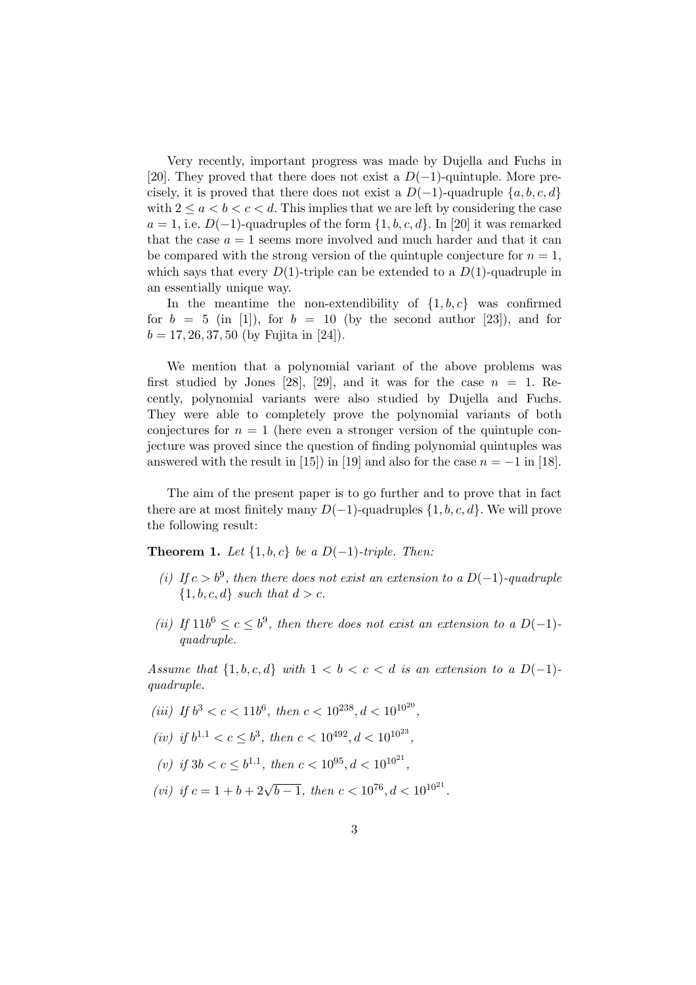Very recently, important progress was made by Dujella and Fuchs in [20]. They proved that there does not exist a  $D(-1)$ -quintuple. More precisely, it is proved that there does not exist a  $D(-1)$ -quadruple  $\{a, b, c, d\}$ with  $2 \le a < b < c < d$ . This implies that we are left by considering the case  $a = 1$ , i.e.  $D(-1)$ -quadruples of the form  $\{1, b, c, d\}$ . In [20] it was remarked that the case  $a = 1$  seems more involved and much harder and that it can be compared with the strong version of the quintuple conjecture for  $n = 1$ , which says that every  $D(1)$ -triple can be extended to a  $D(1)$ -quadruple in an essentially unique way.

In the meantime the non-extendibility of  $\{1, b, c\}$  was confirmed for  $b = 5$  (in [1]), for  $b = 10$  (by the second author [23]), and for  $b = 17, 26, 37, 50$  (by Fujita in [24]).

We mention that a polynomial variant of the above problems was first studied by Jones [28], [29], and it was for the case  $n = 1$ . Recently, polynomial variants were also studied by Dujella and Fuchs. They were able to completely prove the polynomial variants of both conjectures for  $n = 1$  (here even a stronger version of the quintuple conjecture was proved since the question of finding polynomial quintuples was answered with the result in [15]) in [19] and also for the case  $n = -1$  in [18].

The aim of the present paper is to go further and to prove that in fact there are at most finitely many  $D(-1)$ -quadruples  $\{1, b, c, d\}$ . We will prove the following result:

Theorem 1. Let  $\{1, b, c\}$  be a D(−1)-triple. Then:

- (i) If  $c > b^9$ , then there does not exist an extension to a D(-1)-quadruple  $\{1, b, c, d\}$  such that  $d > c$ .
- (ii) If  $11b^6 \leq c \leq b^9$ , then there does not exist an extension to a  $D(-1)$ quadruple.

Assume that  $\{1, b, c, d\}$  with  $1 < b < c < d$  is an extension to a  $D(-1)$ quadruple.

(iii) If 
$$
b^3 < c < 11b^6
$$
, then  $c < 10^{238}$ ,  $d < 10^{10^{20}}$ ,

$$
(iv)
$$
 if  $b^{1.1} < c \le b^3$ , then  $c < 10^{492}$ ,  $d < 10^{10^{23}}$ ,

(v) if  $3b < c \le b^{1.1}$ , then  $c < 10^{95}$ ,  $d < 10^{10^{21}}$ ,

(vi) if  $c = 1 + b + 2\sqrt{b-1}$ , then  $c < 10^{76}$ ,  $d < 10^{10^{21}}$ .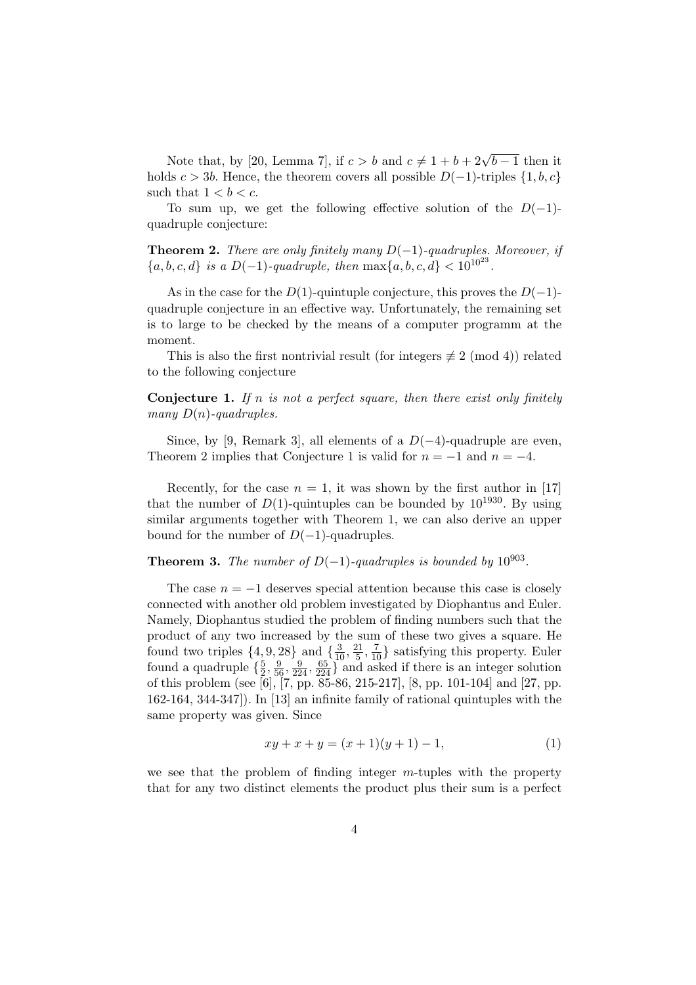Note that, by [20, Lemma 7], if  $c > b$  and  $c \neq 1 + b + 2\sqrt{b-1}$  then it holds  $c > 3b$ . Hence, the theorem covers all possible  $D(-1)$ -triples  $\{1, b, c\}$ such that  $1 < b < c$ .

To sum up, we get the following effective solution of the  $D(-1)$ quadruple conjecture:

**Theorem 2.** There are only finitely many  $D(-1)$ -quadruples. Moreover, if  ${a, b, c, d}$  is a  $D(-1)$ -quadruple, then  $\max\{a, b, c, d\} < 10^{10^{23}}$ .

As in the case for the  $D(1)$ -quintuple conjecture, this proves the  $D(-1)$ quadruple conjecture in an effective way. Unfortunately, the remaining set is to large to be checked by the means of a computer programm at the moment.

This is also the first nontrivial result (for integers  $\not\equiv 2 \pmod{4}$ ) related to the following conjecture

**Conjecture 1.** If n is not a perfect square, then there exist only finitely many  $D(n)$ -quadruples.

Since, by [9, Remark 3], all elements of a  $D(-4)$ -quadruple are even, Theorem 2 implies that Conjecture 1 is valid for  $n = -1$  and  $n = -4$ .

Recently, for the case  $n = 1$ , it was shown by the first author in [17] that the number of  $D(1)$ -quintuples can be bounded by  $10^{1930}$ . By using similar arguments together with Theorem 1, we can also derive an upper bound for the number of  $D(-1)$ -quadruples.

#### **Theorem 3.** The number of  $D(-1)$ -quadruples is bounded by  $10^{903}$ .

The case  $n = -1$  deserves special attention because this case is closely connected with another old problem investigated by Diophantus and Euler. Namely, Diophantus studied the problem of finding numbers such that the product of any two increased by the sum of these two gives a square. He found two triples  $\{4, 9, 28\}$  and  $\{\frac{3}{10}, \frac{21}{5}\}$  $\frac{21}{5}, \frac{7}{10}$  satisfying this property. Euler found a quadruple  $\{\frac{5}{2}\}$  $\frac{5}{2}, \frac{9}{56}, \frac{9}{224}, \frac{65}{224}$  and asked if there is an integer solution of this problem (see [6], [7, pp. 85-86, 215-217], [8, pp. 101-104] and [27, pp. 162-164, 344-347]). In [13] an infinite family of rational quintuples with the same property was given. Since

$$
xy + x + y = (x + 1)(y + 1) - 1,\tag{1}
$$

we see that the problem of finding integer  $m$ -tuples with the property that for any two distinct elements the product plus their sum is a perfect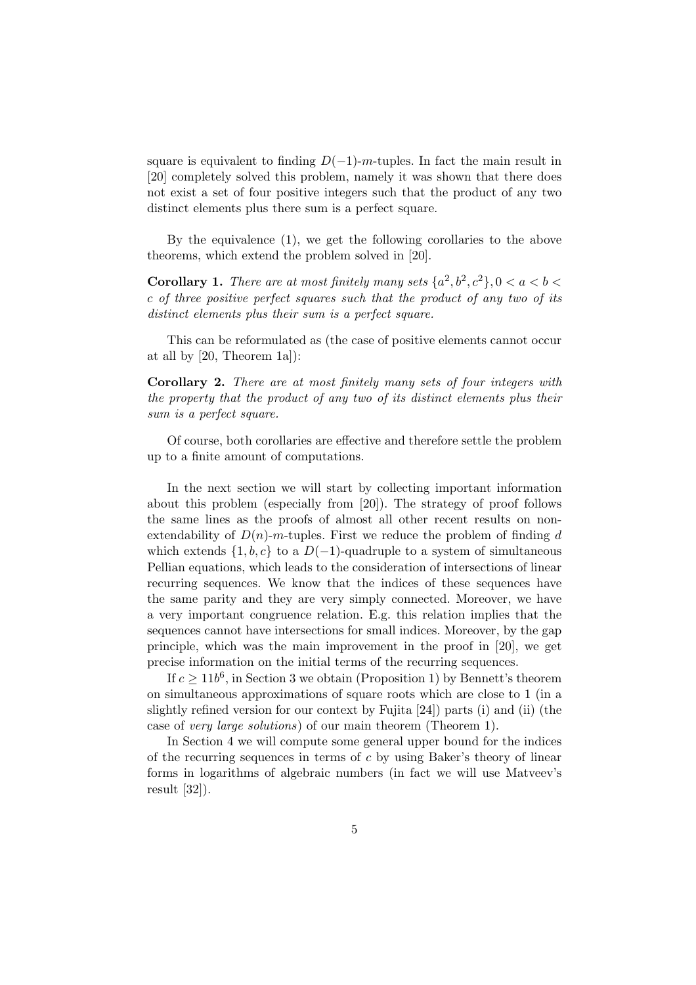square is equivalent to finding  $D(-1)$ -m-tuples. In fact the main result in [20] completely solved this problem, namely it was shown that there does not exist a set of four positive integers such that the product of any two distinct elements plus there sum is a perfect square.

By the equivalence (1), we get the following corollaries to the above theorems, which extend the problem solved in [20].

**Corollary 1.** There are at most finitely many sets  $\{a^2, b^2, c^2\}, 0 < a < b <$ c of three positive perfect squares such that the product of any two of its distinct elements plus their sum is a perfect square.

This can be reformulated as (the case of positive elements cannot occur at all by [20, Theorem 1a]):

Corollary 2. There are at most finitely many sets of four integers with the property that the product of any two of its distinct elements plus their sum is a perfect square.

Of course, both corollaries are effective and therefore settle the problem up to a finite amount of computations.

In the next section we will start by collecting important information about this problem (especially from [20]). The strategy of proof follows the same lines as the proofs of almost all other recent results on nonextendability of  $D(n)$ -m-tuples. First we reduce the problem of finding d which extends  $\{1, b, c\}$  to a  $D(-1)$ -quadruple to a system of simultaneous Pellian equations, which leads to the consideration of intersections of linear recurring sequences. We know that the indices of these sequences have the same parity and they are very simply connected. Moreover, we have a very important congruence relation. E.g. this relation implies that the sequences cannot have intersections for small indices. Moreover, by the gap principle, which was the main improvement in the proof in [20], we get precise information on the initial terms of the recurring sequences.

If  $c \geq 11b^6$ , in Section 3 we obtain (Proposition 1) by Bennett's theorem on simultaneous approximations of square roots which are close to 1 (in a slightly refined version for our context by Fujita [24]) parts (i) and (ii) (the case of very large solutions) of our main theorem (Theorem 1).

In Section 4 we will compute some general upper bound for the indices of the recurring sequences in terms of  $c$  by using Baker's theory of linear forms in logarithms of algebraic numbers (in fact we will use Matveev's result [32]).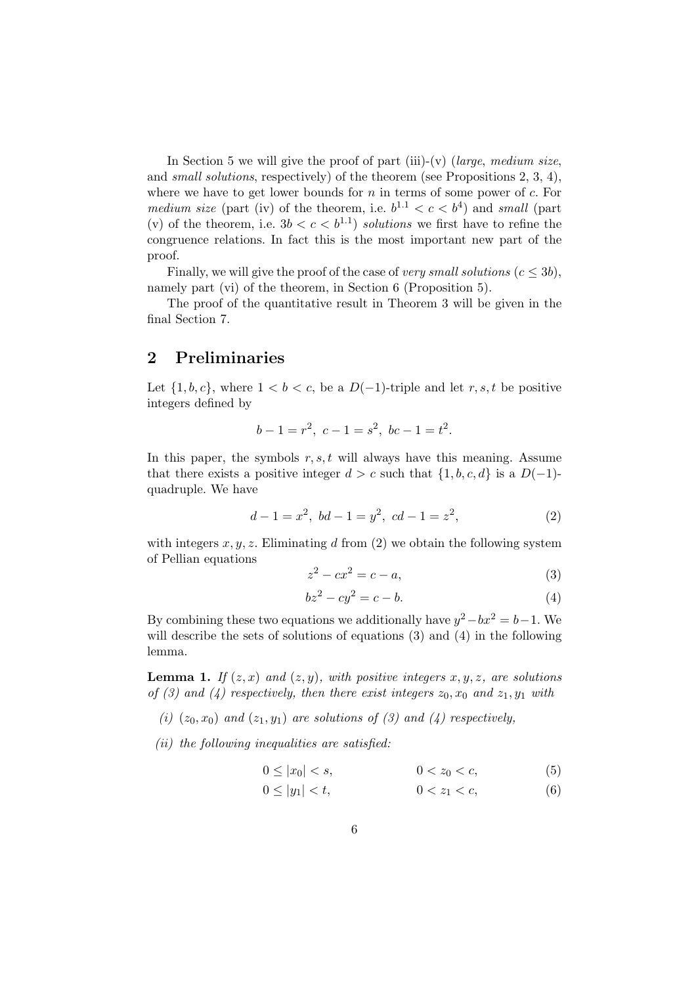In Section 5 we will give the proof of part (iii)-(v) (large, medium size, and small solutions, respectively) of the theorem (see Propositions 2, 3, 4), where we have to get lower bounds for  $n$  in terms of some power of  $c$ . For medium size (part (iv) of the theorem, i.e.  $b^{1,1} < c < b^4$ ) and small (part (v) of the theorem, i.e.  $3b < c < b^{1.1}$  solutions we first have to refine the congruence relations. In fact this is the most important new part of the proof.

Finally, we will give the proof of the case of very small solutions  $(c \leq 3b)$ , namely part (vi) of the theorem, in Section 6 (Proposition 5).

The proof of the quantitative result in Theorem 3 will be given in the final Section 7.

# 2 Preliminaries

Let  $\{1, b, c\}$ , where  $1 < b < c$ , be a  $D(-1)$ -triple and let r, s, t be positive integers defined by

$$
b - 1 = r^2, \ c - 1 = s^2, \ bc - 1 = t^2.
$$

In this paper, the symbols  $r, s, t$  will always have this meaning. Assume that there exists a positive integer  $d > c$  such that  $\{1, b, c, d\}$  is a  $D(-1)$ quadruple. We have

$$
d - 1 = x^2, bd - 1 = y^2, cd - 1 = z^2,
$$
\n(2)

with integers  $x, y, z$ . Eliminating d from (2) we obtain the following system of Pellian equations

$$
z^2 - cx^2 = c - a,\tag{3}
$$

$$
bz^2 - cy^2 = c - b.\tag{4}
$$

By combining these two equations we additionally have  $y^2 - bx^2 = b - 1$ . We will describe the sets of solutions of equations  $(3)$  and  $(4)$  in the following lemma.

**Lemma 1.** If  $(z, x)$  and  $(z, y)$ , with positive integers x, y, z, are solutions of (3) and (4) respectively, then there exist integers  $z_0$ ,  $x_0$  and  $z_1$ ,  $y_1$  with

(i)  $(z_0, x_0)$  and  $(z_1, y_1)$  are solutions of (3) and (4) respectively,

 $(ii)$  the following inequalities are satisfied:

$$
0 \le |x_0| < s,\tag{5}
$$

$$
0 \le |y_1| < t,\tag{6}
$$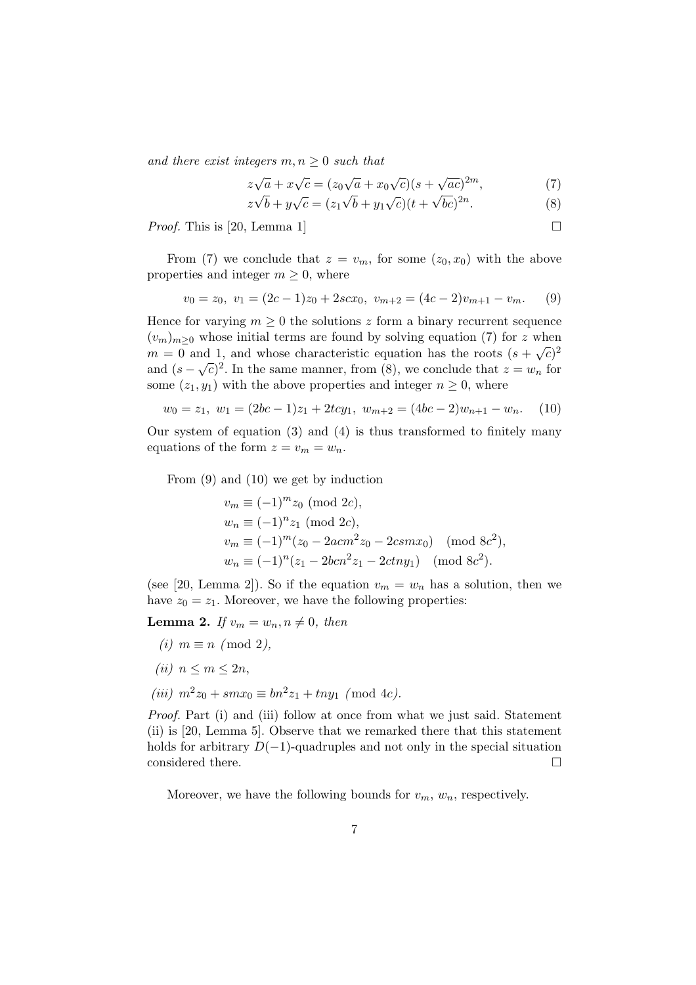and there exist integers  $m, n \geq 0$  such that

$$
z\sqrt{a} + x\sqrt{c} = (z_0\sqrt{a} + x_0\sqrt{c})(s + \sqrt{ac})^{2m},\tag{7}
$$

$$
z\sqrt{b} + y\sqrt{c} = (z_1\sqrt{b} + y_1\sqrt{c})(t + \sqrt{bc})^{2n}.
$$
 (8)

*Proof.* This is [20, Lemma 1]  $\Box$ 

From (7) we conclude that  $z = v_m$ , for some  $(z_0, x_0)$  with the above properties and integer  $m \geq 0$ , where

$$
v_0 = z_0, \ v_1 = (2c - 1)z_0 + 2scx_0, \ v_{m+2} = (4c - 2)v_{m+1} - v_m. \tag{9}
$$

Hence for varying  $m \geq 0$  the solutions z form a binary recurrent sequence  $(v_m)_{m\geq 0}$  whose initial terms are found by solving equation (7) for z when  $m = 0$  and 1, and whose characteristic equation has the roots  $(s + \sqrt{c})^2$ and  $(s - \sqrt{c})^2$ . In the same manner, from (8), we conclude that  $z = w_n$  for some  $(z_1, y_1)$  with the above properties and integer  $n \geq 0$ , where

$$
w_0 = z_1, \ w_1 = (2bc - 1)z_1 + 2tcy_1, \ w_{m+2} = (4bc - 2)w_{n+1} - w_n. \tag{10}
$$

Our system of equation (3) and (4) is thus transformed to finitely many equations of the form  $z = v_m = w_n$ .

From (9) and (10) we get by induction

$$
v_m \equiv (-1)^m z_0 \pmod{2c},
$$
  
\n
$$
w_n \equiv (-1)^n z_1 \pmod{2c},
$$
  
\n
$$
v_m \equiv (-1)^m (z_0 - 2acm^2 z_0 - 2csmx_0) \pmod{8c^2},
$$
  
\n
$$
w_n \equiv (-1)^n (z_1 - 2bcn^2 z_1 - 2ctny_1) \pmod{8c^2}.
$$

(see [20, Lemma 2]). So if the equation  $v_m = w_n$  has a solution, then we have  $z_0 = z_1$ . Moreover, we have the following properties:

**Lemma 2.** If  $v_m = w_n, n \neq 0$ , then

- (i)  $m \equiv n \pmod{2}$ ,
- (ii)  $n \leq m \leq 2n$ ,
- (iii)  $m^2z_0 + smx_0 \equiv bn^2z_1 + tny_1 \pmod{4c}$ .

Proof. Part (i) and (iii) follow at once from what we just said. Statement (ii) is [20, Lemma 5]. Observe that we remarked there that this statement holds for arbitrary  $D(-1)$ -quadruples and not only in the special situation considered there.  $\Box$ 

Moreover, we have the following bounds for  $v_m$ ,  $w_n$ , respectively.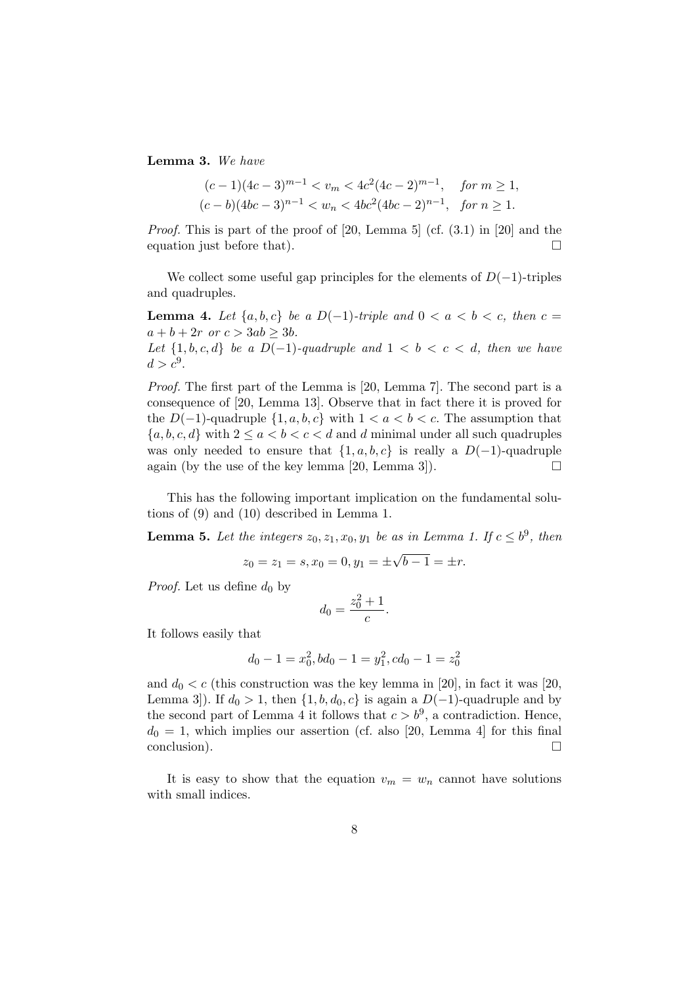Lemma 3. We have

$$
(c-1)(4c-3)^{m-1} < v_m < 4c^2(4c-2)^{m-1}, \quad \text{for } m \ge 1,
$$
\n
$$
(c-b)(4bc-3)^{n-1} < w_n < 4bc^2(4bc-2)^{n-1}, \quad \text{for } n \ge 1.
$$

Proof. This is part of the proof of [20, Lemma 5] (cf. (3.1) in [20] and the equation just before that).  $\Box$ 

We collect some useful gap principles for the elements of  $D(-1)$ -triples and quadruples.

**Lemma 4.** Let  $\{a, b, c\}$  be a D(−1)-triple and  $0 < a < b < c$ , then  $c =$  $a + b + 2r$  or  $c > 3ab > 3b$ . Let  $\{1, b, c, d\}$  be a D(-1)-quadruple and  $1 < b < c < d$ , then we have  $d > c^9$ .

Proof. The first part of the Lemma is [20, Lemma 7]. The second part is a consequence of [20, Lemma 13]. Observe that in fact there it is proved for the  $D(-1)$ -quadruple  $\{1, a, b, c\}$  with  $1 < a < b < c$ . The assumption that  ${a, b, c, d}$  with  $2 \le a < b < c < d$  and d minimal under all such quadruples was only needed to ensure that  $\{1, a, b, c\}$  is really a D(-1)-quadruple again (by the use of the key lemma [20, Lemma 3]).  $\Box$ 

This has the following important implication on the fundamental solutions of (9) and (10) described in Lemma 1.

**Lemma 5.** Let the integers  $z_0, z_1, x_0, y_1$  be as in Lemma 1. If  $c \leq b^9$ , then

$$
z_0 = z_1 = s, x_0 = 0, y_1 = \pm \sqrt{b - 1} = \pm r.
$$

*Proof.* Let us define  $d_0$  by

$$
d_0 = \frac{z_0^2 + 1}{c}.
$$

It follows easily that

$$
d_0 - 1 = x_0^2, bd_0 - 1 = y_1^2, cd_0 - 1 = z_0^2
$$

and  $d_0 < c$  (this construction was the key lemma in [20], in fact it was [20, Lemma 3]). If  $d_0 > 1$ , then  $\{1, b, d_0, c\}$  is again a  $D(-1)$ -quadruple and by the second part of Lemma 4 it follows that  $c > b^9$ , a contradiction. Hence,  $d_0 = 1$ , which implies our assertion (cf. also [20, Lemma 4] for this final  $\Box$   $\Box$ 

It is easy to show that the equation  $v_m = w_n$  cannot have solutions with small indices.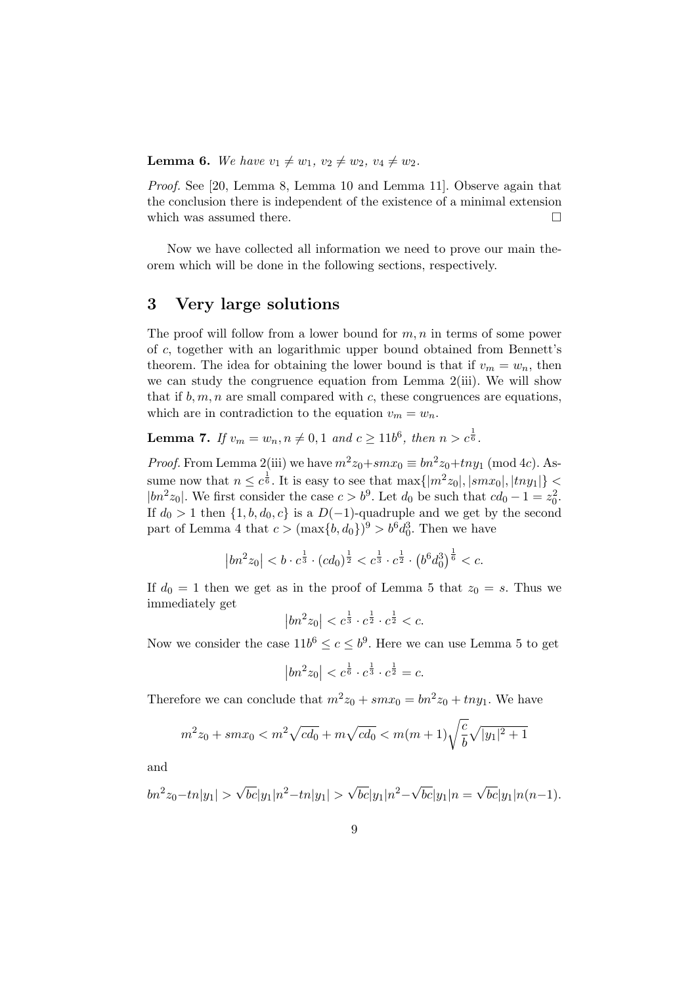**Lemma 6.** We have  $v_1 \neq w_1$ ,  $v_2 \neq w_2$ ,  $v_4 \neq w_2$ .

Proof. See [20, Lemma 8, Lemma 10 and Lemma 11]. Observe again that the conclusion there is independent of the existence of a minimal extension which was assumed there.  $\Box$ 

Now we have collected all information we need to prove our main theorem which will be done in the following sections, respectively.

### 3 Very large solutions

The proof will follow from a lower bound for  $m, n$  in terms of some power of c, together with an logarithmic upper bound obtained from Bennett's theorem. The idea for obtaining the lower bound is that if  $v_m = w_n$ , then we can study the congruence equation from Lemma 2(iii). We will show that if  $b, m, n$  are small compared with c, these congruences are equations, which are in contradiction to the equation  $v_m = w_n$ .

**Lemma 7.** If  $v_m = w_n, n \neq 0, 1$  and  $c \ge 11b^6$ , then  $n > c^{\frac{1}{6}}$ .

*Proof.* From Lemma 2(iii) we have  $m^2z_0+smx_0 \equiv bn^2z_0+tny_1 \pmod{4c}$ . Assume now that  $n \leq c^{\frac{1}{6}}$ . It is easy to see that  $\max\{|m^2z_0|, |smx_0|, |tny_1|\} <$ | $bn^2z_0$ |. We first consider the case  $c > b^9$ . Let  $d_0$  be such that  $cd_0 - 1 = z_0^2$ . If  $d_0 > 1$  then  $\{1, b, d_0, c\}$  is a  $D(-1)$ -quadruple and we get by the second part of Lemma 4 that  $c > (\max\{b, d_0\})^9 > b^6 d_0^3$ . Then we have

$$
\left|bn^2z_0\right| < b\cdot c^{\frac{1}{3}}\cdot (cd_0)^{\frac{1}{2}} < c^{\frac{1}{3}}\cdot c^{\frac{1}{2}}\cdot \left(b^6d_0^3\right)^{\frac{1}{6}} < c.
$$

If  $d_0 = 1$  then we get as in the proof of Lemma 5 that  $z_0 = s$ . Thus we immediately get  $\overline{a}$  $\overline{a}$ 

$$
\left|bn^2z_0\right| < c^{\frac{1}{3}} \cdot c^{\frac{1}{2}} \cdot c^{\frac{1}{2}} < c.
$$

Now we consider the case  $11b^6 \le c \le b^9$ . Here we can use Lemma 5 to get

$$
\left|bn^2z_0\right| < c^{\frac{1}{6}} \cdot c^{\frac{1}{3}} \cdot c^{\frac{1}{2}} = c.
$$

Therefore we can conclude that  $m^2z_0 + smx_0 = bn^2z_0 + tny_1$ . We have

$$
m^2 z_0 + smx_0 < m^2 \sqrt{cd_0} + m \sqrt{cd_0} < m(m+1) \sqrt{\frac{c}{b}} \sqrt{|y_1|^2 + 1}
$$

and

$$
bn^{2}z_{0} - tn|y_{1}| > \sqrt{bc}|y_{1}|n^{2} - tn|y_{1}| > \sqrt{bc}|y_{1}|n^{2} - \sqrt{bc}|y_{1}|n = \sqrt{bc}|y_{1}|n(n-1).
$$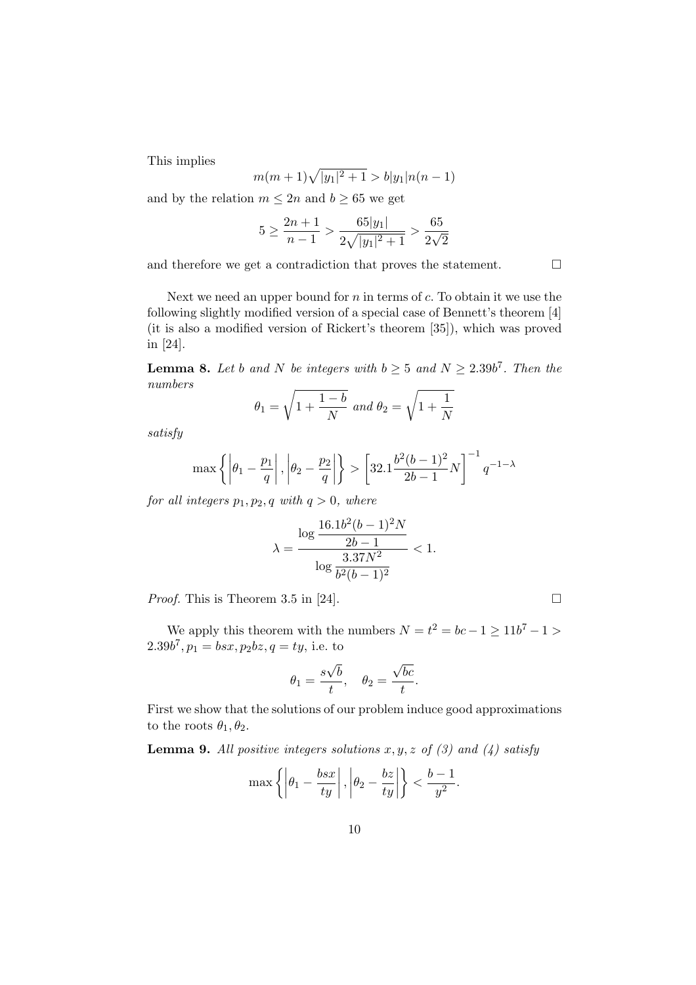This implies

$$
m(m+1)\sqrt{|y_1|^2+1} > b|y_1|n(n-1)
$$

and by the relation  $m \leq 2n$  and  $b \geq 65$  we get

$$
5 \ge \frac{2n+1}{n-1} > \frac{65|y_1|}{2\sqrt{|y_1|^2+1}} > \frac{65}{2\sqrt{2}}
$$

and therefore we get a contradiction that proves the statement.  $\Box$ 

Next we need an upper bound for  $n$  in terms of  $c$ . To obtain it we use the following slightly modified version of a special case of Bennett's theorem [4] (it is also a modified version of Rickert's theorem [35]), which was proved in [24].

**Lemma 8.** Let b and N be integers with  $b \geq 5$  and  $N \geq 2.39b^7$ . Then the numbers r r

$$
\theta_1 = \sqrt{1 + \frac{1 - b}{N}} \text{ and } \theta_2 = \sqrt{1 + \frac{1}{N}}
$$

satisfy

$$
\max\left\{ \left| \theta_1 - \frac{p_1}{q} \right|, \left| \theta_2 - \frac{p_2}{q} \right| \right\} > \left[ 32.1 \frac{b^2(b-1)^2}{2b-1} N \right]^{-1} q^{-1-\lambda}
$$

for all integers  $p_1, p_2, q$  with  $q > 0$ , where

$$
\lambda = \frac{\log \frac{16.1b^2(b-1)^2N}{2b-1}}{\log \frac{3.37N^2}{b^2(b-1)^2}} < 1.
$$

*Proof.* This is Theorem 3.5 in [24].  $\Box$ 

We apply this theorem with the numbers  $N = t^2 = bc - 1 \ge 11b^7 - 1 >$  $2.39b^7, p_1 = bsx, p_2bz, q = ty$ , i.e. to

$$
\theta_1 = \frac{s\sqrt{b}}{t}, \quad \theta_2 = \frac{\sqrt{bc}}{t}.
$$

First we show that the solutions of our problem induce good approximations to the roots  $\theta_1, \theta_2$ .

**Lemma 9.** All positive integers solutions  $x, y, z$  of (3) and (4) satisfy

$$
\max\left\{\left|\theta_1-\frac{bsx}{ty}\right|,\left|\theta_2-\frac{bz}{ty}\right|\right\}<\frac{b-1}{y^2}.
$$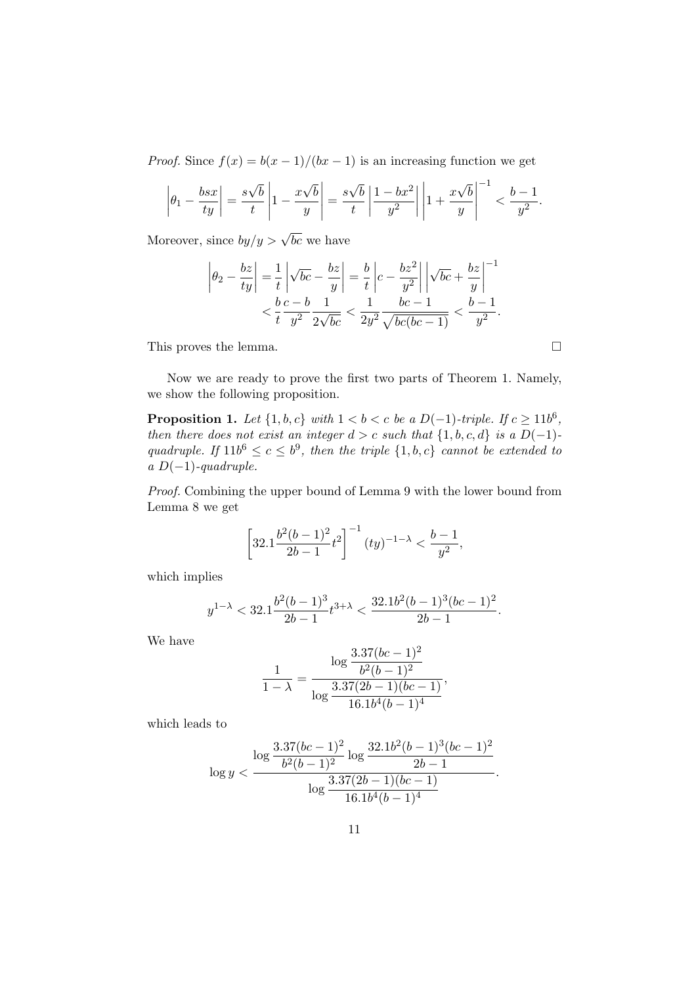*Proof.* Since  $f(x) = b(x-1)/(bx-1)$  is an increasing function we get

$$
\left|\theta_1 - \frac{bsx}{ty}\right| = \frac{s\sqrt{b}}{t}\left|1 - \frac{x\sqrt{b}}{y}\right| = \frac{s\sqrt{b}}{t}\left|\frac{1 - bx^2}{y^2}\right|\left|1 + \frac{x\sqrt{b}}{y}\right|^{-1} < \frac{b - 1}{y^2}.
$$

Moreover, since  $by/y > \sqrt{bc}$  we have

$$
\left| \theta_2 - \frac{bz}{ty} \right| = \frac{1}{t} \left| \sqrt{bc} - \frac{bz}{y} \right| = \frac{b}{t} \left| c - \frac{bz^2}{y^2} \right| \left| \sqrt{bc} + \frac{bz}{y} \right|^{-1} < \frac{b}{t} \frac{c - b}{y^2} \frac{1}{2\sqrt{bc}} < \frac{1}{2y^2} \frac{bc - 1}{\sqrt{bc(bc - 1)}} < \frac{b - 1}{y^2}.
$$

This proves the lemma.  $\Box$ 

Now we are ready to prove the first two parts of Theorem 1. Namely, we show the following proposition.

**Proposition 1.** Let  $\{1, b, c\}$  with  $1 < b < c$  be a  $D(-1)$ -triple. If  $c \ge 11b^6$ , then there does not exist an integer  $d > c$  such that  $\{1, b, c, d\}$  is a  $D(-1)$ quadruple. If  $11b^6 \leq c \leq b^9$ , then the triple  $\{1, b, c\}$  cannot be extended to a  $D(-1)$ -quadruple.

Proof. Combining the upper bound of Lemma 9 with the lower bound from Lemma 8 we get

$$
\left[32.1\frac{b^2(b-1)^2}{2b-1}t^2\right]^{-1}(ty)^{-1-\lambda} < \frac{b-1}{y^2},
$$

which implies

$$
y^{1-\lambda} < 32.1 \frac{b^2(b-1)^3}{2b-1} t^{3+\lambda} < \frac{32.1b^2(b-1)^3(bc-1)^2}{2b-1}.
$$

We have

$$
\frac{1}{1-\lambda} = \frac{\log \frac{3.37(bc-1)^2}{b^2(b-1)^2}}{\log \frac{3.37(2b-1)(bc-1)}{16.1b^4(b-1)^4}},
$$

which leads to

$$
\log y < \frac{\log \frac{3.37(bc-1)^2}{b^2(b-1)^2} \log \frac{32.1b^2(b-1)^3(bc-1)^2}{2b-1}}{\log \frac{3.37(2b-1)(bc-1)}{16.1b^4(b-1)^4}}.
$$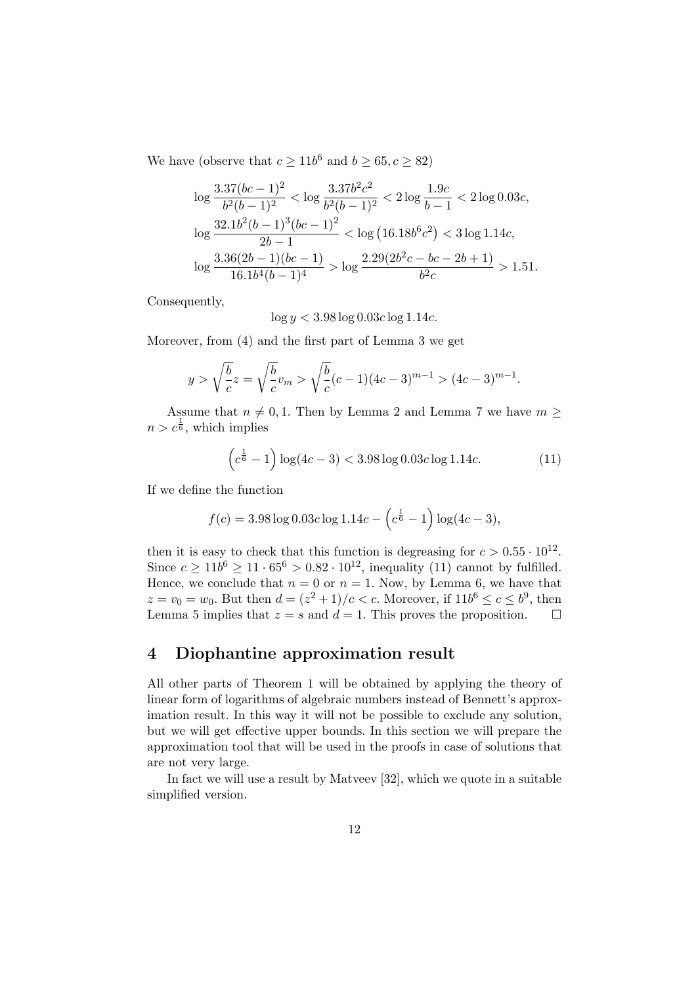We have (observe that  $c \ge 11b^6$  and  $b \ge 65, c \ge 82$ )

$$
\log \frac{3.37(bc-1)^2}{b^2(b-1)^2} < \log \frac{3.37b^2c^2}{b^2(b-1)^2} < 2\log \frac{1.9c}{b-1} < 2\log 0.03c,
$$
\n
$$
\log \frac{32.1b^2(b-1)^3(bc-1)^2}{2b-1} < \log \left(16.18b^6c^2\right) < 3\log 1.14c,
$$
\n
$$
\log \frac{3.36(2b-1)(bc-1)}{16.1b^4(b-1)^4} > \log \frac{2.29(2b^2c - bc - 2b + 1)}{b^2c} > 1.51.
$$

Consequently,

 $\log y < 3.98 \log 0.03c \log 1.14c$ .

Moreover, from (4) and the first part of Lemma 3 we get

$$
y > \sqrt{\frac{b}{c}}z = \sqrt{\frac{b}{c}}v_m > \sqrt{\frac{b}{c}}(c-1)(4c-3)^{m-1} > (4c-3)^{m-1}.
$$

Assume that  $n \neq 0, 1$ . Then by Lemma 2 and Lemma 7 we have  $m \geq$  $n > c^{\frac{1}{6}}$ , which implies

$$
\left(c^{\frac{1}{6}} - 1\right) \log(4c - 3) < 3.98 \log 0.03c \log 1.14c. \tag{11}
$$

If we define the function

$$
f(c) = 3.98 \log 0.03c \log 1.14c - \left(c^{\frac{1}{6}} - 1\right) \log (4c - 3),
$$

then it is easy to check that this function is degreasing for  $c > 0.55 \cdot 10^{12}$ . Since  $c \ge 11b^6 \ge 11 \cdot 65^6 > 0.82 \cdot 10^{12}$ , inequality (11) cannot by fulfilled. Hence, we conclude that  $n = 0$  or  $n = 1$ . Now, by Lemma 6, we have that  $z = v_0 = w_0$ . But then  $d = (z^2 + 1)/c < c$ . Moreover, if  $11b^6 \le c \le b^9$ , then Lemma 5 implies that  $z = s$  and  $d = 1$ . This proves the proposition.  $\Box$ 

# 4 Diophantine approximation result

All other parts of Theorem 1 will be obtained by applying the theory of linear form of logarithms of algebraic numbers instead of Bennett's approximation result. In this way it will not be possible to exclude any solution, but we will get effective upper bounds. In this section we will prepare the approximation tool that will be used in the proofs in case of solutions that are not very large.

In fact we will use a result by Matveev [32], which we quote in a suitable simplified version.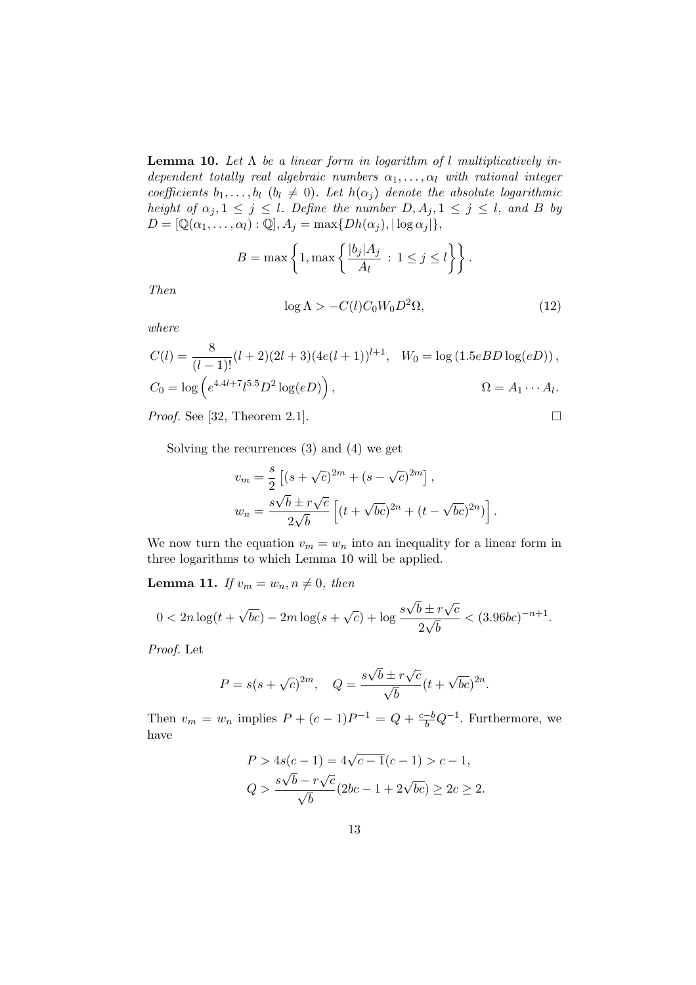**Lemma 10.** Let  $\Lambda$  be a linear form in logarithm of l multiplicatively independent totally real algebraic numbers  $\alpha_1, \ldots, \alpha_l$  with rational integer coefficients  $b_1, \ldots, b_l$   $(b_l \neq 0)$ . Let  $h(\alpha_j)$  denote the absolute logarithmic height of  $\alpha_j, 1 \leq j \leq l$ . Define the number  $D, A_j, 1 \leq j \leq l$ , and B by  $D = [\mathbb{Q}(\alpha_1, \ldots, \alpha_l) : \mathbb{Q}], A_i = \max\{Dh(\alpha_i), |\log \alpha_i|\},\$ 

$$
B = \max\left\{1, \max\left\{\frac{|b_j|A_j}{A_l} \, : \, 1 \le j \le l\right\}\right\}.
$$

Then

$$
\log \Lambda > -C(l)C_0W_0D^2\Omega,\tag{12}
$$

.

where

$$
C(l) = \frac{8}{(l-1)!} (l+2)(2l+3)(4e(l+1))^{l+1}, \quad W_0 = \log(1.5eBD\log(eD)),
$$
  
\n
$$
C_0 = \log\left(e^{4.4l+7}l^{5.5}D^2\log(eD)\right), \qquad \Omega = A_1 \cdots A_l.
$$

*Proof.* See [32, Theorem 2.1].  $\Box$ 

Solving the recurrences (3) and (4) we get

$$
v_m = \frac{s}{2} \left[ (s + \sqrt{c})^{2m} + (s - \sqrt{c})^{2m} \right],
$$
  

$$
w_n = \frac{s\sqrt{b} \pm r\sqrt{c}}{2\sqrt{b}} \left[ (t + \sqrt{bc})^{2n} + (t - \sqrt{bc})^{2n} \right]
$$

We now turn the equation  $v_m = w_n$  into an inequality for a linear form in three logarithms to which Lemma 10 will be applied.

**Lemma 11.** If  $v_m = w_n, n \neq 0$ , then

$$
0 < 2n\log(t + \sqrt{bc}) - 2m\log(s + \sqrt{c}) + \log\frac{s\sqrt{b} \pm r\sqrt{c}}{2\sqrt{b}} < (3.96bc)^{-n+1}.
$$

Proof. Let

$$
P = s(s + \sqrt{c})^{2m}, \quad Q = \frac{s\sqrt{b} \pm r\sqrt{c}}{\sqrt{b}}(t + \sqrt{bc})^{2n}.
$$

Then  $v_m = w_n$  implies  $P + (c-1)P^{-1} = Q + \frac{c-b}{b}Q^{-1}$ . Furthermore, we have

$$
P > 4s(c - 1) = 4\sqrt{c - 1}(c - 1) > c - 1,
$$
  

$$
Q > \frac{s\sqrt{b} - r\sqrt{c}}{\sqrt{b}}(2bc - 1 + 2\sqrt{bc}) \ge 2c \ge 2.
$$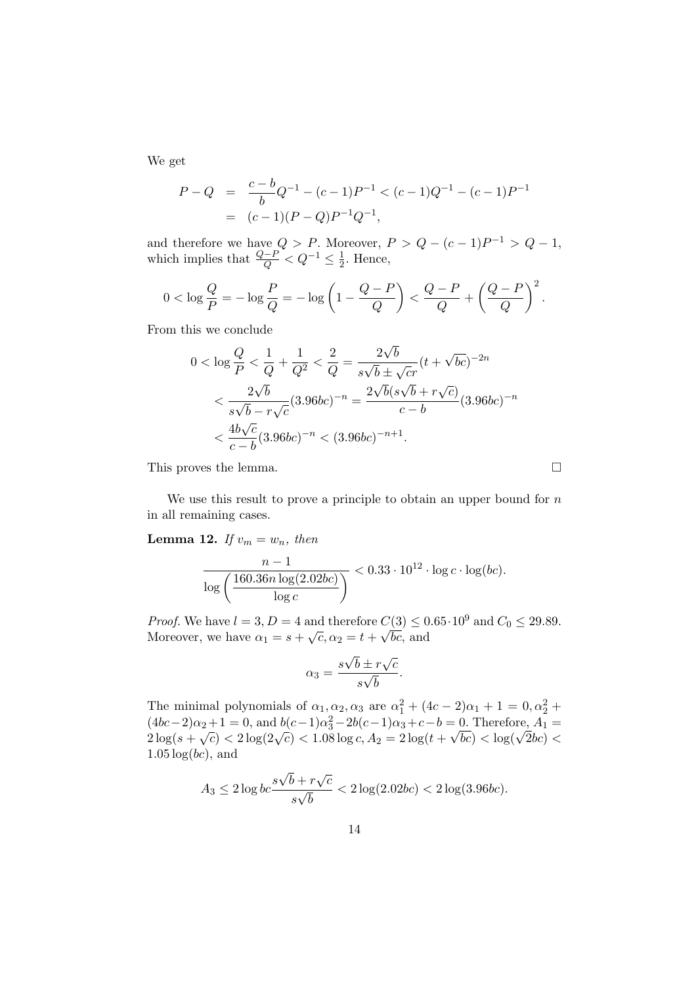We get

$$
P - Q = \frac{c - b}{b}Q^{-1} - (c - 1)P^{-1} < (c - 1)Q^{-1} - (c - 1)P^{-1}
$$
  
=  $(c - 1)(P - Q)P^{-1}Q^{-1}$ ,

and therefore we have  $Q > P$ . Moreover,  $P > Q - (c - 1)P^{-1} > Q - 1$ , which implies that  $\frac{Q-P}{Q} < Q^{-1} \leq \frac{1}{2}$  $\frac{1}{2}$ . Hence,

$$
0<\log\frac{Q}{P}=-\log\frac{P}{Q}=-\log\left(1-\frac{Q-P}{Q}\right)<\frac{Q-P}{Q}+\left(\frac{Q-P}{Q}\right)^2.
$$

From this we conclude

$$
0 < \log \frac{Q}{P} < \frac{1}{Q} + \frac{1}{Q^2} < \frac{2}{Q} = \frac{2\sqrt{b}}{s\sqrt{b} \pm \sqrt{cr}} (t + \sqrt{bc})^{-2n} \\
&< \frac{2\sqrt{b}}{s\sqrt{b} - r\sqrt{c}} (3.96bc)^{-n} = \frac{2\sqrt{b}(s\sqrt{b} + r\sqrt{c})}{c - b} (3.96bc)^{-n} \\
&< \frac{4b\sqrt{c}}{c - b} (3.96bc)^{-n} < (3.96bc)^{-n+1}.
$$

This proves the lemma.  $\Box$ 

We use this result to prove a principle to obtain an upper bound for  $n$ in all remaining cases.

**Lemma 12.** If  $v_m = w_n$ , then

$$
\frac{n-1}{\log\left(\frac{160.36n\log(2.02bc)}{\log c}\right)} < 0.33 \cdot 10^{12} \cdot \log c \cdot \log(bc).
$$

*Proof.* We have  $l = 3, D = 4$  and therefore  $C(3) \leq 0.65 \cdot 10^9$  and  $C_0 \leq 29.89$ . *Moreover, we have*  $\alpha_1 = s + \sqrt{c}, \alpha_2 = t +$  $\mathcal{C}_{\mathcal{A}}$ bc, and

$$
\alpha_3 = \frac{s\sqrt{b} \pm r\sqrt{c}}{s\sqrt{b}}.
$$

The minimal polynomials of  $\alpha_1, \alpha_2, \alpha_3$  are  $\alpha_1^2 + (4c - 2)\alpha_1 + 1 = 0, \alpha_2^2 +$  $(4bc-2)\alpha_2 + 1 = 0$ , and  $b(c-1)\alpha_3^2 - 2b(c-1)\alpha_3 + c - b = 0$ . Therefore,  $A_1 =$  $(40c-2)\alpha_2 + 1 = 0$ , and  $0(c-1)\alpha_3 - 20(c-1)\alpha_3 + c - 0 = 0$ . Therefore,  $A_1 = 2\log(s + \sqrt{c}) < 2\log(2\sqrt{c}) < 1.08\log c$ ,  $A_2 = 2\log(t + \sqrt{bc}) < \log(\sqrt{2}bc) <$  $1.05 \log(bc)$ , and

$$
A_3 \le 2 \log b c \frac{s\sqrt{b} + r\sqrt{c}}{s\sqrt{b}} < 2 \log(2.02bc) < 2 \log(3.96bc).
$$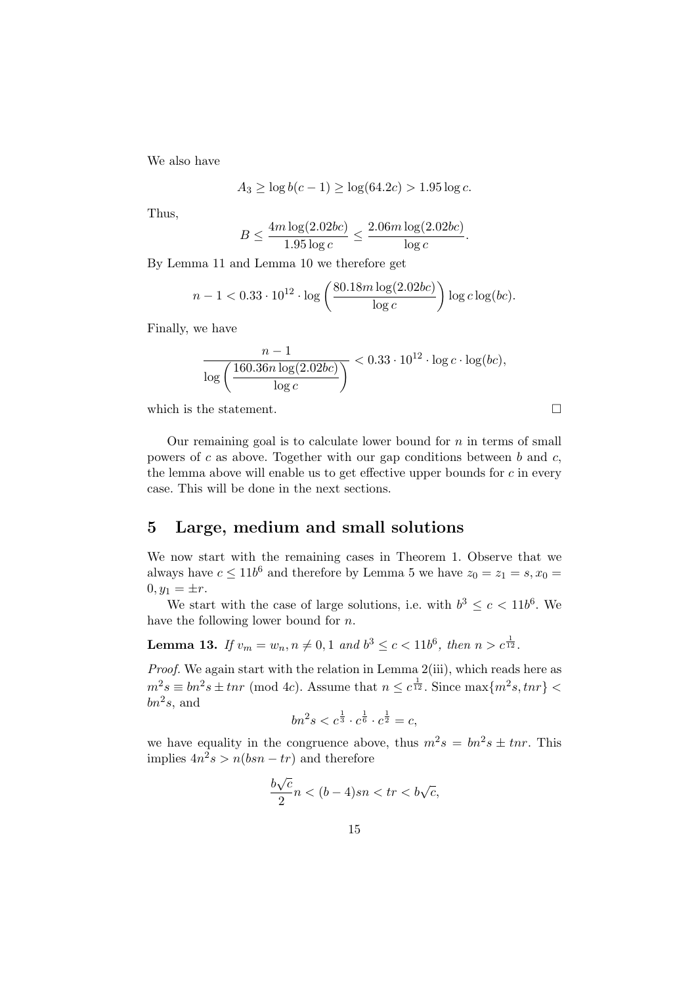We also have

$$
A_3 \ge \log b(c - 1) \ge \log(64.2c) > 1.95 \log c.
$$

Thus,

$$
B \le \frac{4m \log(2.02bc)}{1.95 \log c} \le \frac{2.06m \log(2.02bc)}{\log c}.
$$

By Lemma 11 and Lemma 10 we therefore get

$$
n-1 < 0.33 \cdot 10^{12} \cdot \log \left( \frac{80.18 m \log(2.02 b c)}{\log c} \right) \log c \log (b c).
$$

Finally, we have

$$
\frac{n-1}{\log\left(\frac{160.36n\log(2.02bc)}{\log c}\right)} < 0.33 \cdot 10^{12} \cdot \log c \cdot \log(bc),
$$

which is the statement.  $\Box$ 

Our remaining goal is to calculate lower bound for  $n$  in terms of small powers of  $c$  as above. Together with our gap conditions between  $b$  and  $c$ , the lemma above will enable us to get effective upper bounds for  $c$  in every case. This will be done in the next sections.

### 5 Large, medium and small solutions

We now start with the remaining cases in Theorem 1. Observe that we always have  $c \leq 11b^6$  and therefore by Lemma 5 we have  $z_0 = z_1 = s, x_0 =$  $0, y_1 = \pm r.$ 

We start with the case of large solutions, i.e. with  $b^3 \leq c < 11b^6$ . We have the following lower bound for n.

**Lemma 13.** If  $v_m = w_n, n \neq 0, 1$  and  $b^3 \le c < 11b^6$ , then  $n > c^{\frac{1}{12}}$ .

Proof. We again start with the relation in Lemma 2(iii), which reads here as  $m^2s \equiv bn^2s \pm tnr \pmod{4c}$ . Assume that  $n \leq c^{\frac{1}{12}}$ . Since  $\max\{m^2s, tnr\}$  $bn^2s$ , and

$$
bn^2s < c^{\frac{1}{3}} \cdot c^{\frac{1}{6}} \cdot c^{\frac{1}{2}} = c,
$$

we have equality in the congruence above, thus  $m^2 s = b n^2 s \pm t n r$ . This implies  $4n^2s > n(bsn - tr)$  and therefore

$$
\frac{b\sqrt{c}}{2}n < (b-4)sn < tr < b\sqrt{c},
$$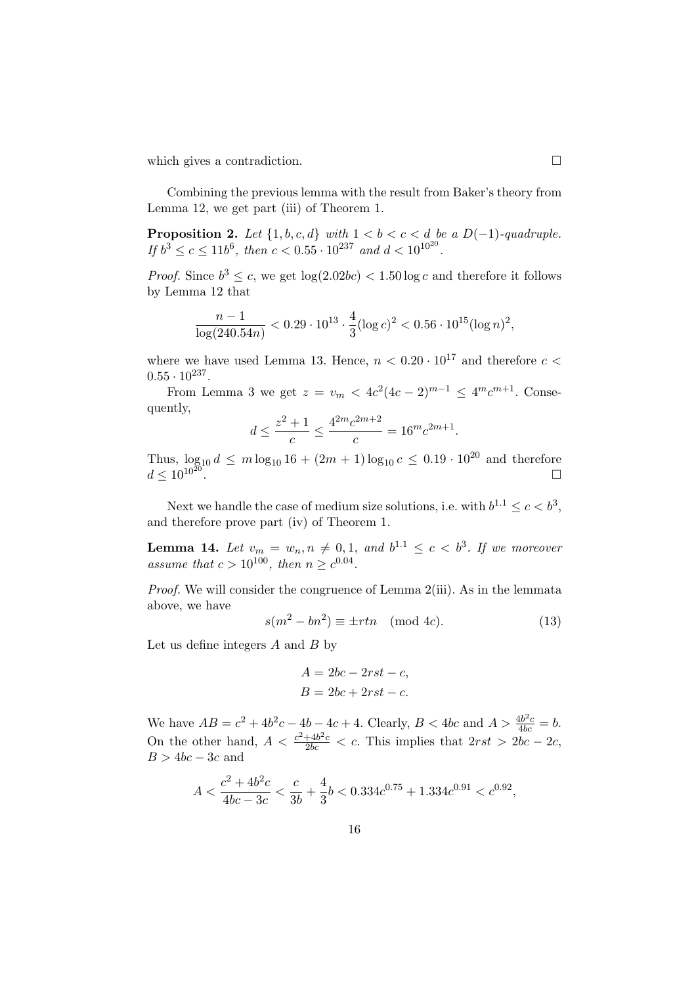which gives a contradiction.  $\Box$ 

Combining the previous lemma with the result from Baker's theory from Lemma 12, we get part (iii) of Theorem 1.

**Proposition 2.** Let  $\{1, b, c, d\}$  with  $1 < b < c < d$  be a  $D(-1)$ -quadruple. If  $b^3 \leq c \leq 11b^6$ , then  $c < 0.55 \cdot 10^{237}$  and  $d < 10^{10^{20}}$ .

*Proof.* Since  $b^3 \leq c$ , we get  $\log(2.02bc) < 1.50 \log c$  and therefore it follows by Lemma 12 that

$$
\frac{n-1}{\log(240.54n)} < 0.29 \cdot 10^{13} \cdot \frac{4}{3} (\log c)^2 < 0.56 \cdot 10^{15} (\log n)^2,
$$

where we have used Lemma 13. Hence,  $n < 0.20 \cdot 10^{17}$  and therefore  $c <$  $0.55 \cdot 10^{237}$ .

From Lemma 3 we get  $z = v_m < 4c^2(4c-2)^{m-1} \le 4^m c^{m+1}$ . Consequently,

$$
d \le \frac{z^2 + 1}{c} \le \frac{4^{2m} c^{2m+2}}{c} = 16^m c^{2m+1}.
$$

Thus,  $\log_{10} d \le m \log_{10} 16 + (2m + 1) \log_{10} c \le 0.19 \cdot 10^{20}$  and therefore  $d \leq 10^{10^{20}}$ .

Next we handle the case of medium size solutions, i.e. with  $b^{1.1} \leq c < b^3$ , and therefore prove part (iv) of Theorem 1.

**Lemma 14.** Let  $v_m = w_n, n \neq 0, 1,$  and  $b^{1.1} \leq c < b^3$ . If we moreover assume that  $c > 10^{100}$ , then  $n \geq c^{0.04}$ .

Proof. We will consider the congruence of Lemma 2(iii). As in the lemmata above, we have

$$
s(m^2 - bn^2) \equiv \pm rtn \pmod{4c}.
$$
 (13)

Let us define integers  $A$  and  $B$  by

$$
A = 2bc - 2rst - c,
$$
  

$$
B = 2bc + 2rst - c.
$$

We have  $AB = c^2 + 4b^2c - 4b - 4c + 4$ . Clearly,  $B < 4bc$  and  $A > \frac{4b^2c}{4bc} = b$ . On the other hand,  $A < \frac{c^2 + 4b^2c}{2bc} < c$ . This implies that  $2rst > 2bc - 2c$ ,  $B > 4bc - 3c$  and

$$
A<\frac{c^2+4b^2c}{4bc-3c}<\frac{c}{3b}+\frac{4}{3}b<0.334c^{0.75}+1.334c^{0.91}
$$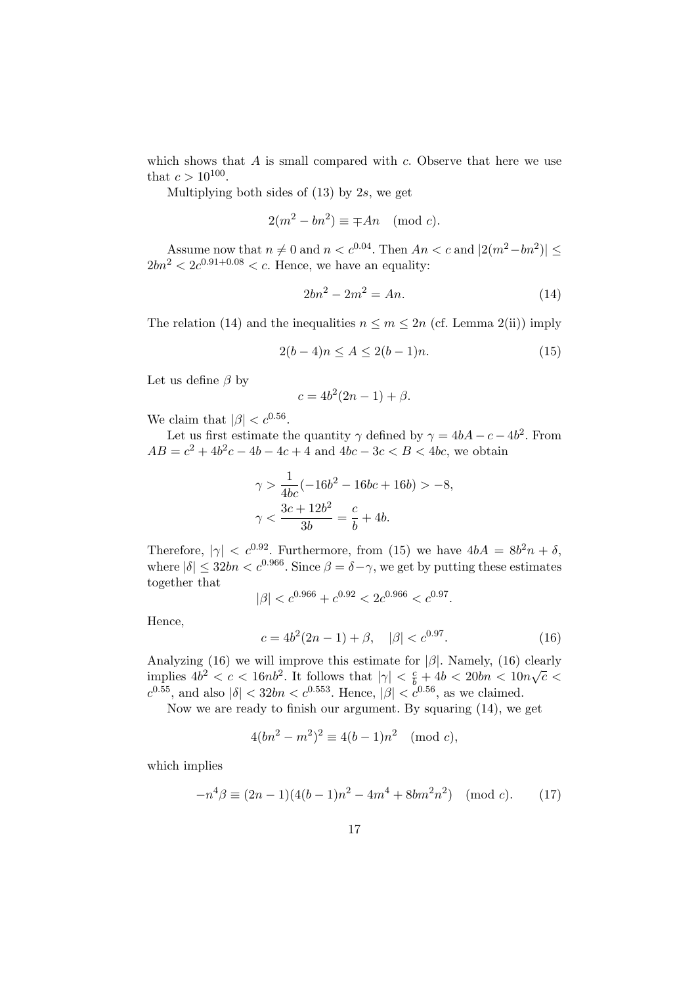which shows that  $A$  is small compared with  $c$ . Observe that here we use that  $c > 10^{100}$ .

Multiplying both sides of  $(13)$  by 2s, we get

$$
2(m^2 - bn^2) \equiv \mp An \pmod{c}.
$$

Assume now that  $n \neq 0$  and  $n < c^{0.04}$ . Then  $An < c$  and  $|2(m^2 - bn^2)| \le$  $2bn^2 < 2c^{0.91+0.08} < c$ . Hence, we have an equality:

$$
2bn^2 - 2m^2 = An.\t(14)
$$

The relation (14) and the inequalities  $n \leq m \leq 2n$  (cf. Lemma 2(ii)) imply

$$
2(b-4)n \le A \le 2(b-1)n. \tag{15}
$$

Let us define  $\beta$  by

$$
c = 4b^2(2n - 1) + \beta.
$$

We claim that  $|\beta| < c^{0.56}$ .

Let us first estimate the quantity  $\gamma$  defined by  $\gamma = 4bA - c - 4b^2$ . From  $AB = c^2 + 4b^2c - 4b - 4c + 4$  and  $4bc - 3c < B < 4bc$ , we obtain

$$
\gamma > \frac{1}{4bc}(-16b^2 - 16bc + 16b) > -8,
$$
  

$$
\gamma < \frac{3c + 12b^2}{3b} = \frac{c}{b} + 4b.
$$

Therefore,  $|\gamma| < c^{0.92}$ . Furthermore, from (15) we have  $4bA = 8b^2n + \delta$ , where  $|\delta| \leq 32bn < c^{0.966}$ . Since  $\beta = \delta - \gamma$ , we get by putting these estimates together that

$$
|\beta| < c^{0.966} + c^{0.92} < 2c^{0.966} < c^{0.97}.
$$

Hence,

$$
c = 4b^2(2n - 1) + \beta, \quad |\beta| < c^{0.97}.\tag{16}
$$

Analyzing (16) we will improve this estimate for  $|\beta|$ . Namely, (16) clearly Analyzing (10) we will implove this estimate for  $|\rho|$ . Namely, (10) clearly<br>implies  $4b^2 < c < 16nb^2$ . It follows that  $|\gamma| < \frac{c}{b} + 4b < 20bn < 10n\sqrt{c} <$  $c^{0.55}$ , and also  $|\delta| < 32bn < c^{0.553}$ . Hence,  $|\beta| < c^{0.56}$ , as we claimed.

Now we are ready to finish our argument. By squaring (14), we get

$$
4(bn^2 - m^2)^2 \equiv 4(b-1)n^2 \pmod{c},
$$

which implies

$$
-n^4\beta \equiv (2n-1)(4(b-1)n^2 - 4m^4 + 8bm^2n^2) \pmod{c}.
$$
 (17)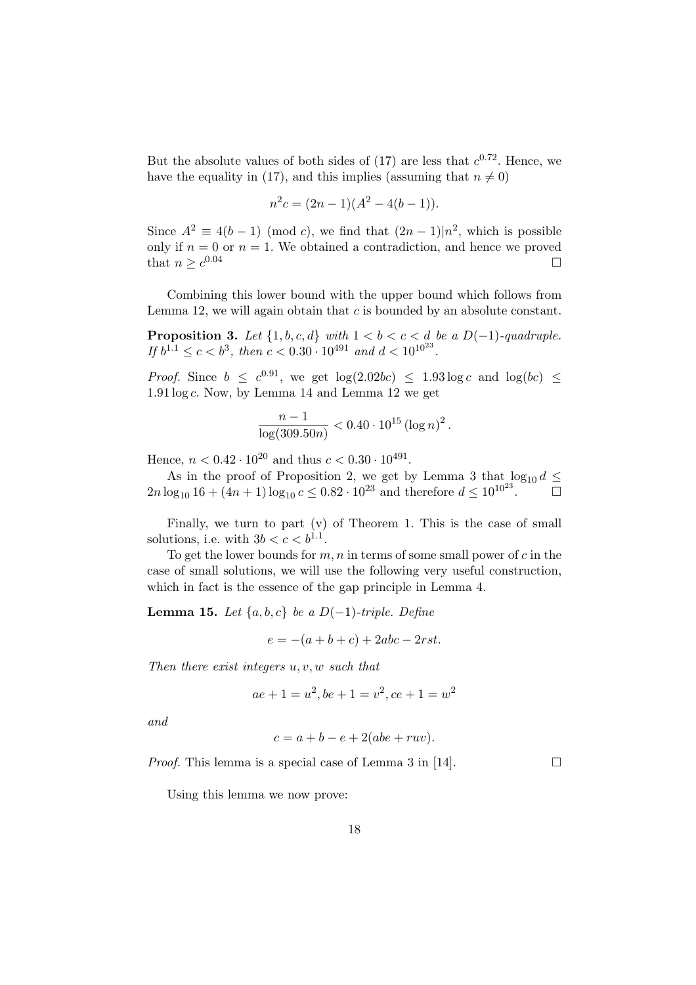But the absolute values of both sides of (17) are less that  $c^{0.72}$ . Hence, we have the equality in (17), and this implies (assuming that  $n \neq 0$ )

$$
n^2c = (2n - 1)(A^2 - 4(b - 1)).
$$

Since  $A^2 \equiv 4(b-1) \pmod{c}$ , we find that  $(2n-1)|n^2$ , which is possible only if  $n = 0$  or  $n = 1$ . We obtained a contradiction, and hence we proved that  $n > c^{0.04}$  $\Box$ 0.04  $\Box$ 

Combining this lower bound with the upper bound which follows from Lemma 12, we will again obtain that  $c$  is bounded by an absolute constant.

**Proposition 3.** Let  $\{1, b, c, d\}$  with  $1 < b < c < d$  be a  $D(-1)$ -quadruple. If  $b^{1.1} \leq c < b^3$ , then  $c < 0.30 \cdot 10^{491}$  and  $d < 10^{10^{23}}$ .

*Proof.* Since  $b \leq c^{0.91}$ , we get  $\log(2.02bc) \leq 1.93 \log c$  and  $\log(bc) \leq$  $1.91 \log c$ . Now, by Lemma 14 and Lemma 12 we get

$$
\frac{n-1}{\log(309.50n)} < 0.40 \cdot 10^{15} \left(\log n\right)^2.
$$

Hence,  $n < 0.42 \cdot 10^{20}$  and thus  $c < 0.30 \cdot 10^{491}$ .

As in the proof of Proposition 2, we get by Lemma 3 that  $\log_{10} d \leq$  $2n \log_{10} 16 + (4n + 1) \log_{10} c \leq 0.82 \cdot 10^{23}$  and therefore  $d \leq 10^{10^{23}}$ .  $\Box$ 

Finally, we turn to part (v) of Theorem 1. This is the case of small solutions, i.e. with  $3b < c < b^{1.1}$ .

To get the lower bounds for  $m, n$  in terms of some small power of  $c$  in the case of small solutions, we will use the following very useful construction, which in fact is the essence of the gap principle in Lemma 4.

**Lemma 15.** Let  $\{a, b, c\}$  be a D(−1)-triple. Define

$$
e = -(a+b+c) + 2abc - 2rst.
$$

Then there exist integers  $u, v, w$  such that

$$
ae + 1 = u^2, be + 1 = v^2, ce + 1 = w^2
$$

and

$$
c = a + b - e + 2(abe + ruv).
$$

*Proof.* This lemma is a special case of Lemma 3 in [14].  $\Box$ 

Using this lemma we now prove: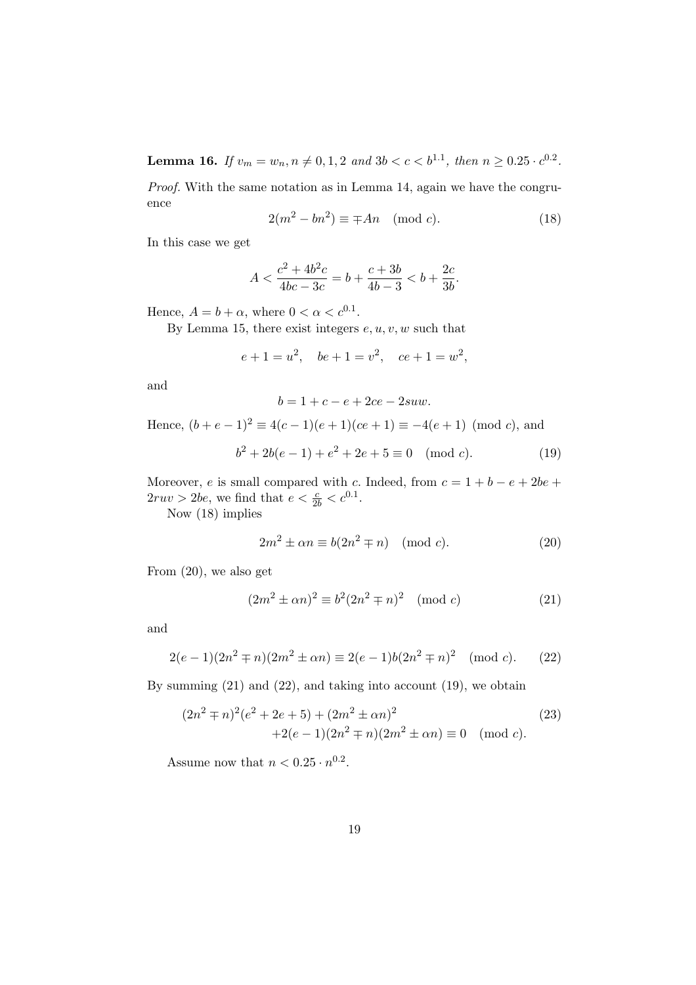**Lemma 16.** If  $v_m = w_n$ ,  $n \neq 0, 1, 2$  and  $3b < c < b^{1.1}$ , then  $n \geq 0.25 \cdot c^{0.2}$ .

Proof. With the same notation as in Lemma 14, again we have the congruence

$$
2(m^2 - bn^2) \equiv \mp An \pmod{c}.
$$
 (18)

In this case we get

$$
A < \frac{c^2 + 4b^2c}{4bc - 3c} = b + \frac{c + 3b}{4b - 3} < b + \frac{2c}{3b}.
$$

Hence,  $A = b + \alpha$ , where  $0 < \alpha < c^{0.1}$ .

By Lemma 15, there exist integers  $e, u, v, w$  such that

$$
e + 1 = u^2, \quad be + 1 = v^2, \quad ce + 1 = w^2,
$$

and

$$
b=1+c-e+2ce-2suw.
$$

Hence,  $(b+e-1)^2 \equiv 4(c-1)(e+1)(ce+1) \equiv -4(e+1) \pmod{c}$ , and

$$
b2 + 2b(e - 1) + e2 + 2e + 5 \equiv 0 \pmod{c}.
$$
 (19)

Moreover, e is small compared with c. Indeed, from  $c = 1 + b - e + 2be +$  $2ruv > 2be$ , we find that  $e < \frac{c}{2b} < c^{0.1}$ .

Now (18) implies

$$
2m^2 \pm \alpha n \equiv b(2n^2 \mp n) \pmod{c}.
$$
 (20)

From (20), we also get

$$
(2m2 \pm \alpha n)2 \equiv b2(2n2 \mp n)2 \pmod{c}
$$
 (21)

and

$$
2(e-1)(2n^2 \mp n)(2m^2 \pm \alpha n) \equiv 2(e-1)b(2n^2 \mp n)^2 \pmod{c}.
$$
 (22)

By summing  $(21)$  and  $(22)$ , and taking into account  $(19)$ , we obtain

$$
(2n2 \mp n)2(e2 + 2e + 5) + (2m2 \pm \alpha n)2 +2(e-1)(2n2 \mp n)(2m2 \pm \alpha n) \equiv 0 \pmod{c}.
$$
 (23)

Assume now that  $n < 0.25 \cdot n^{0.2}$ .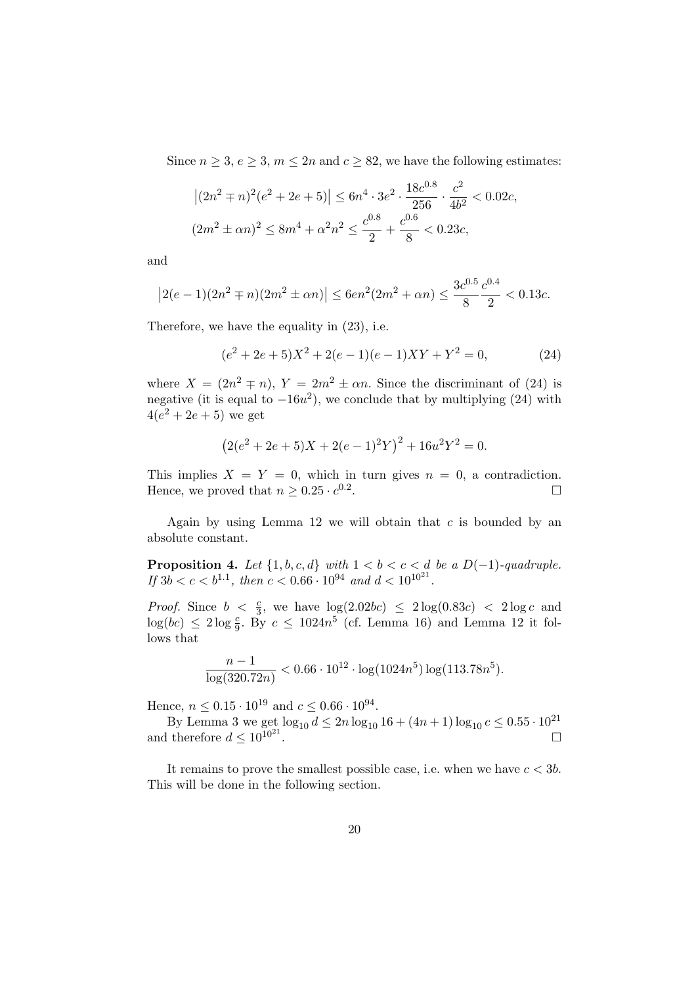Since  $n \geq 3, e \geq 3, m \leq 2n$  and  $c \geq 82$ , we have the following estimates:

$$
\left| (2n^2 \mp n)^2 (e^2 + 2e + 5) \right| \le 6n^4 \cdot 3e^2 \cdot \frac{18e^{0.8}}{256} \cdot \frac{c^2}{4b^2} < 0.02c,
$$
  

$$
(2m^2 \pm \alpha n)^2 \le 8m^4 + \alpha^2 n^2 \le \frac{c^{0.8}}{2} + \frac{c^{0.6}}{8} < 0.23c,
$$

and

$$
\left|2(e-1)(2n^2\mp n)(2m^2\pm \alpha n)\right| \leq 6en^2(2m^2+\alpha n) \leq \frac{3c^{0.5}}{8}\frac{c^{0.4}}{2} < 0.13c.
$$

Therefore, we have the equality in (23), i.e.

$$
(e2 + 2e + 5)X2 + 2(e - 1)(e - 1)XY + Y2 = 0,
$$
 (24)

where  $X = (2n^2 \mp n), Y = 2m^2 \pm \alpha n$ . Since the discriminant of (24) is negative (it is equal to  $-16u^2$ ), we conclude that by multiplying (24) with  $4(e^2 + 2e + 5)$  we get

$$
(2(e2 + 2e + 5)X + 2(e - 1)2Y)2 + 16u2Y2 = 0.
$$

This implies  $X = Y = 0$ , which in turn gives  $n = 0$ , a contradiction. Hence, we proved that  $n \geq 0.25 \cdot c^{0.2}$ . The contract of the contract of  $\Box$ 

Again by using Lemma 12 we will obtain that  $c$  is bounded by an absolute constant.

**Proposition 4.** Let  $\{1, b, c, d\}$  with  $1 < b < c < d$  be a  $D(-1)$ -quadruple. If  $3b < c < b^{1.1}$ , then  $c < 0.66 \cdot 10^{94}$  and  $d < 10^{10^{21}}$ .

*Proof.* Since  $b < \frac{c}{3}$ , we have  $\log(2.02bc) \leq 2\log(0.83c) < 2\log c$  and  $log(bc) \leq 2 log \frac{c}{9}$ . By  $c \leq 1024n^5$  (cf. Lemma 16) and Lemma 12 it follows that

$$
\frac{n-1}{\log(320.72n)} < 0.66 \cdot 10^{12} \cdot \log(1024n^5) \log(113.78n^5).
$$

Hence,  $n \leq 0.15 \cdot 10^{19}$  and  $c \leq 0.66 \cdot 10^{94}$ .

By Lemma 3 we get  $\log_{10} d \leq 2n \log_{10} 16 + (4n + 1) \log_{10} c \leq 0.55 \cdot 10^{21}$ and therefore  $d \leq 10^{10^{21}}$ .

It remains to prove the smallest possible case, i.e. when we have  $c < 3b$ . This will be done in the following section.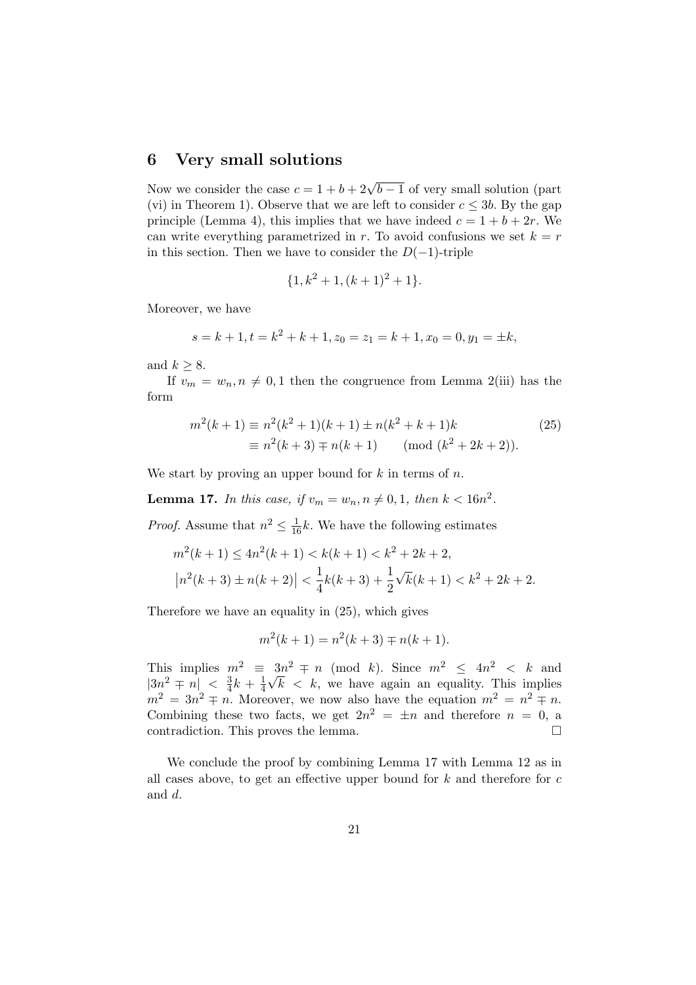#### 6 Very small solutions

Now we consider the case  $c = 1 + b + 2\sqrt{b-1}$  of very small solution (part (vi) in Theorem 1). Observe that we are left to consider  $c \leq 3b$ . By the gap principle (Lemma 4), this implies that we have indeed  $c = 1 + b + 2r$ . We can write everything parametrized in r. To avoid confusions we set  $k = r$ in this section. Then we have to consider the  $D(-1)$ -triple

$$
\{1, k^2 + 1, (k+1)^2 + 1\}.
$$

Moreover, we have

$$
s = k + 1, t = k2 + k + 1, z0 = z1 = k + 1, x0 = 0, y1 = \pm k,
$$

and  $k \geq 8$ .

If  $v_m = w_n, n \neq 0, 1$  then the congruence from Lemma 2(iii) has the form

$$
m^{2}(k+1) \equiv n^{2}(k^{2}+1)(k+1) \pm n(k^{2}+k+1)k
$$
  
\n
$$
\equiv n^{2}(k+3) \mp n(k+1) \pmod{(k^{2}+2k+2)}.
$$
\n(25)

We start by proving an upper bound for  $k$  in terms of  $n$ .

**Lemma 17.** In this case, if  $v_m = w_n, n \neq 0, 1$ , then  $k < 16n^2$ .

*Proof.* Assume that  $n^2 \leq \frac{1}{16}k$ . We have the following estimates

$$
m^{2}(k+1) \le 4n^{2}(k+1) < k(k+1) < k^{2} + 2k + 2,
$$
\n
$$
\left|n^{2}(k+3) \pm n(k+2)\right| < \frac{1}{4}k(k+3) + \frac{1}{2}\sqrt{k}(k+1) < k^{2} + 2k + 2.
$$

Therefore we have an equality in (25), which gives

$$
m^{2}(k+1) = n^{2}(k+3) \mp n(k+1).
$$

This implies  $m^2 \equiv 3n^2 \mp n \pmod{k}$ . Since  $m^2 \le 4n^2 < k$  and  $|3n^2 \mp n| < \frac{3}{4}$  $\frac{3}{4}k + \frac{1}{4}$  $\frac{1}{4}\sqrt{k} < k$ , we have again an equality. This implies  $m^2 = 3n^2 \mp n$ . Moreover, we now also have the equation  $m^2 = n^2 \mp n$ . Combining these two facts, we get  $2n^2 = \pm n$  and therefore  $n = 0$ , a contradiction. This proves the lemma.  $\Box$ 

We conclude the proof by combining Lemma 17 with Lemma 12 as in all cases above, to get an effective upper bound for  $k$  and therefore for  $c$ and d.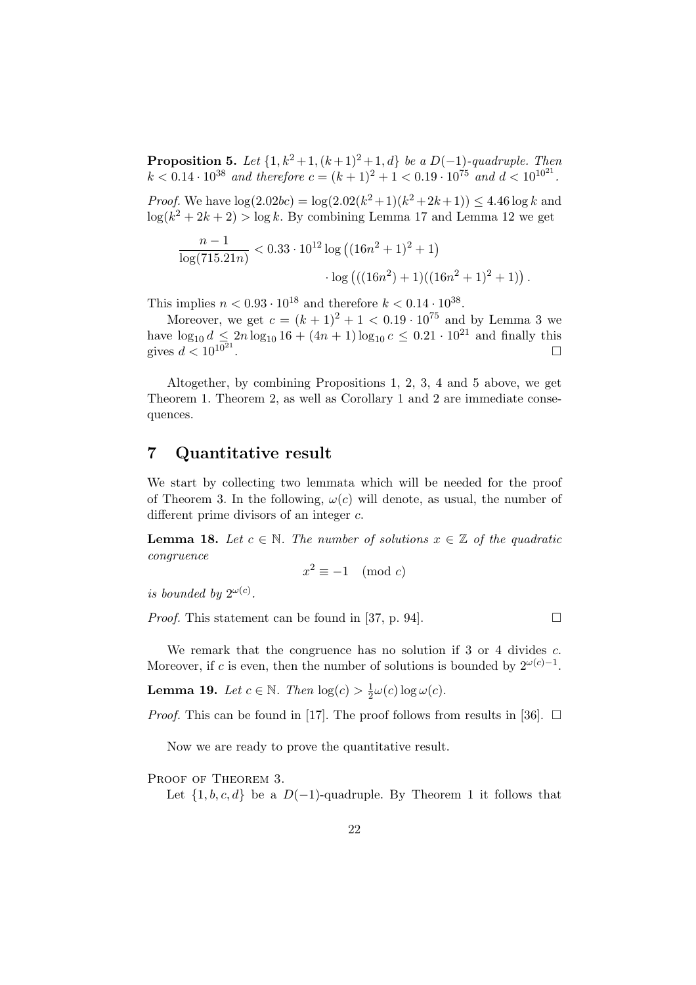**Proposition 5.** Let  $\{1, k^2 + 1, (k+1)^2 + 1, d\}$  be a D(-1)-quadruple. Then  $k < 0.14 \cdot 10^{38}$  and therefore  $c = (k+1)^2 + 1 < 0.19 \cdot 10^{75}$  and  $d < 10^{10^{21}}$ .

*Proof.* We have  $log(2.02bc) = log(2.02(k^2+1)(k^2+2k+1)) \leq 4.46 log k$  and  $log(k^2 + 2k + 2) > log k$ . By combining Lemma 17 and Lemma 12 we get

$$
\frac{n-1}{\log(715.21n)} < 0.33 \cdot 10^{12} \log \left( (16n^2 + 1)^2 + 1 \right) \cdot \log \left( ((16n^2) + 1)((16n^2 + 1)^2 + 1) \right).
$$

This implies  $n < 0.93 \cdot 10^{18}$  and therefore  $k < 0.14 \cdot 10^{38}$ .

Moreover, we get  $c = (k + 1)^2 + 1 < 0.19 \cdot 10^{75}$  and by Lemma 3 we have  $\log_{10} d \leq 2n \log_{10} 16 + (4n + 1) \log_{10} c \leq 0.21 \cdot 10^{21}$  and finally this gives  $d < 10^{10^{21}}$ .

Altogether, by combining Propositions 1, 2, 3, 4 and 5 above, we get Theorem 1. Theorem 2, as well as Corollary 1 and 2 are immediate consequences.

# 7 Quantitative result

We start by collecting two lemmata which will be needed for the proof of Theorem 3. In the following,  $\omega(c)$  will denote, as usual, the number of different prime divisors of an integer c.

**Lemma 18.** Let  $c \in \mathbb{N}$ . The number of solutions  $x \in \mathbb{Z}$  of the quadratic congruence

 $x^2 \equiv -1 \pmod{c}$ 

is bounded by  $2^{\omega(c)}$ .

*Proof.* This statement can be found in [37, p. 94].  $\Box$ 

We remark that the congruence has no solution if 3 or 4 divides c. Moreover, if c is even, then the number of solutions is bounded by  $2^{\omega(c)-1}$ .

**Lemma 19.** Let  $c \in \mathbb{N}$ . Then  $log(c) > \frac{1}{2}$  $\frac{1}{2}\omega(c)\log \omega(c)$ .

*Proof.* This can be found in [17]. The proof follows from results in [36].  $\Box$ 

Now we are ready to prove the quantitative result.

PROOF OF THEOREM 3.

Let  $\{1, b, c, d\}$  be a D(-1)-quadruple. By Theorem 1 it follows that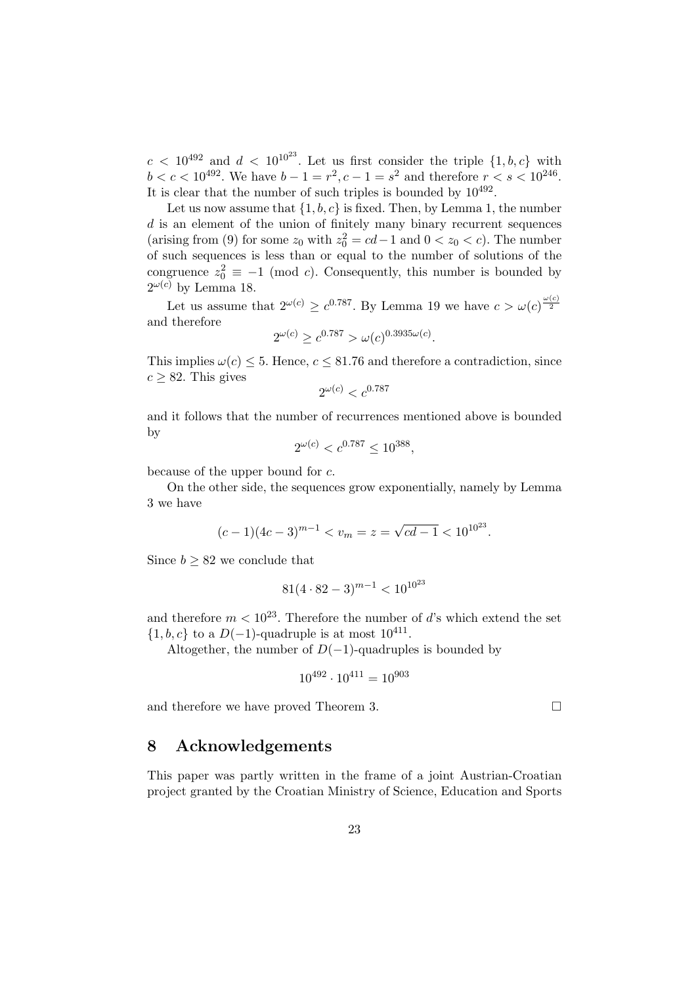$c < 10^{492}$  and  $d < 10^{10^{23}}$ . Let us first consider the triple  $\{1, b, c\}$  with  $b < c < 10^{492}$ . We have  $b - 1 = r^2, c - 1 = s^2$  and therefore  $r < s < 10^{246}$ . It is clear that the number of such triples is bounded by  $10^{492}$ .

Let us now assume that  $\{1, b, c\}$  is fixed. Then, by Lemma 1, the number  $d$  is an element of the union of finitely many binary recurrent sequences (arising from (9) for some  $z_0$  with  $z_0^2 = cd - 1$  and  $0 < z_0 < c$ ). The number of such sequences is less than or equal to the number of solutions of the congruence  $z_0^2 \equiv -1 \pmod{c}$ . Consequently, this number is bounded by  $2^{\omega(c)}$  by Lemma 18.

Let us assume that  $2^{\omega(c)} \geq c^{0.787}$ . By Lemma 19 we have  $c > \omega(c)^{\frac{\omega(c)}{2}}$ and therefore

$$
2^{\omega(c)} \ge c^{0.787} > \omega(c)^{0.3935\omega(c)}.
$$

This implies  $\omega(c) \leq 5$ . Hence,  $c \leq 81.76$  and therefore a contradiction, since  $c \geq 82$ . This gives

$$
2^{\omega(c)} < c^{0.787}
$$

and it follows that the number of recurrences mentioned above is bounded by

$$
2^{\omega(c)} < c^{0.787} \le 10^{388},
$$

because of the upper bound for c.

On the other side, the sequences grow exponentially, namely by Lemma 3 we have

$$
(c-1)(4c-3)^{m-1} < v_m = z = \sqrt{cd-1} < 10^{10^{23}}.
$$

Since  $b \geq 82$  we conclude that

$$
81(4 \cdot 82 - 3)^{m-1} < 10^{10^{23}}
$$

and therefore  $m < 10^{23}$ . Therefore the number of d's which extend the set  $\{1, b, c\}$  to a  $D(-1)$ -quadruple is at most  $10^{411}$ .

Altogether, the number of  $D(-1)$ -quadruples is bounded by

$$
10^{492} \cdot 10^{411} = 10^{903}
$$

and therefore we have proved Theorem 3.  $\Box$ 

### 8 Acknowledgements

This paper was partly written in the frame of a joint Austrian-Croatian project granted by the Croatian Ministry of Science, Education and Sports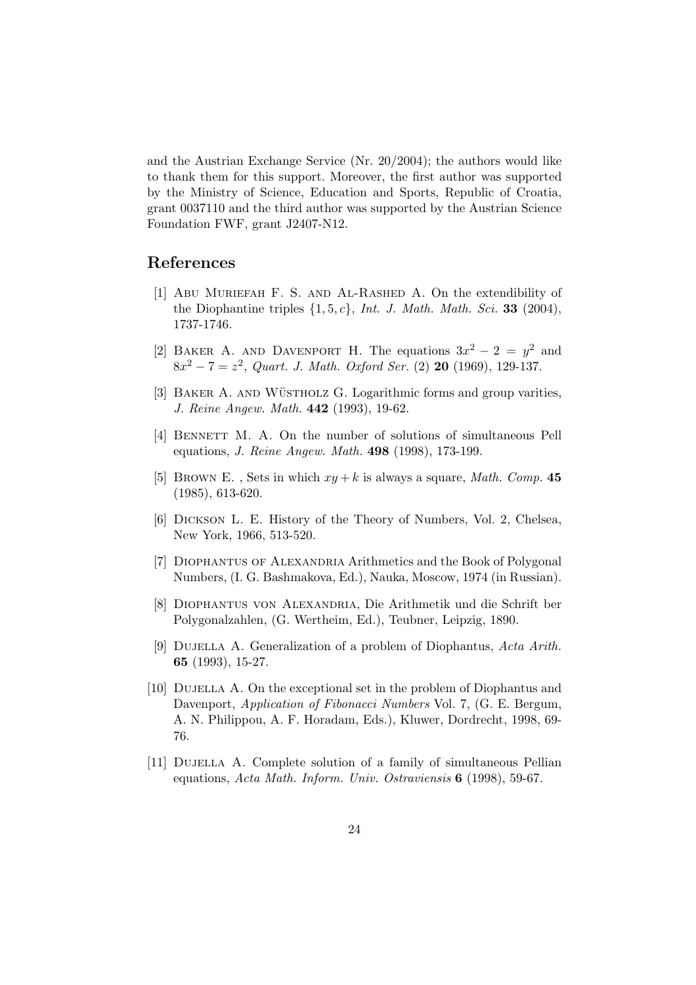and the Austrian Exchange Service (Nr. 20/2004); the authors would like to thank them for this support. Moreover, the first author was supported by the Ministry of Science, Education and Sports, Republic of Croatia, grant 0037110 and the third author was supported by the Austrian Science Foundation FWF, grant J2407-N12.

## References

- [1] Abu Muriefah F. S. and Al-Rashed A. On the extendibility of the Diophantine triples  $\{1, 5, c\}$ , Int. J. Math. Math. Sci. 33 (2004), 1737-1746.
- [2] BAKER A. AND DAVENPORT H. The equations  $3x^2 2 = y^2$  and  $8x^2 - 7 = z^2$ , Quart. J. Math. Oxford Ser. (2) 20 (1969), 129-137.
- [3] BAKER A. AND WÜSTHOLZ G. Logarithmic forms and group varities, J. Reine Angew. Math. 442 (1993), 19-62.
- [4] BENNETT M. A. On the number of solutions of simultaneous Pell equations, J. Reine Angew. Math. 498 (1998), 173-199.
- [5] BROWN E., Sets in which  $xy + k$  is always a square, *Math. Comp.* 45 (1985), 613-620.
- [6] Dickson L. E. History of the Theory of Numbers, Vol. 2, Chelsea, New York, 1966, 513-520.
- [7] DIOPHANTUS OF ALEXANDRIA Arithmetics and the Book of Polygonal Numbers, (I. G. Bashmakova, Ed.), Nauka, Moscow, 1974 (in Russian).
- [8] Diophantus von Alexandria, Die Arithmetik und die Schrift ber Polygonalzahlen, (G. Wertheim, Ed.), Teubner, Leipzig, 1890.
- [9] Dujella A. Generalization of a problem of Diophantus, Acta Arith. 65 (1993), 15-27.
- [10] Dujella A. On the exceptional set in the problem of Diophantus and Davenport, Application of Fibonacci Numbers Vol. 7, (G. E. Bergum, A. N. Philippou, A. F. Horadam, Eds.), Kluwer, Dordrecht, 1998, 69- 76.
- [11] Dujella A. Complete solution of a family of simultaneous Pellian equations, Acta Math. Inform. Univ. Ostraviensis 6 (1998), 59-67.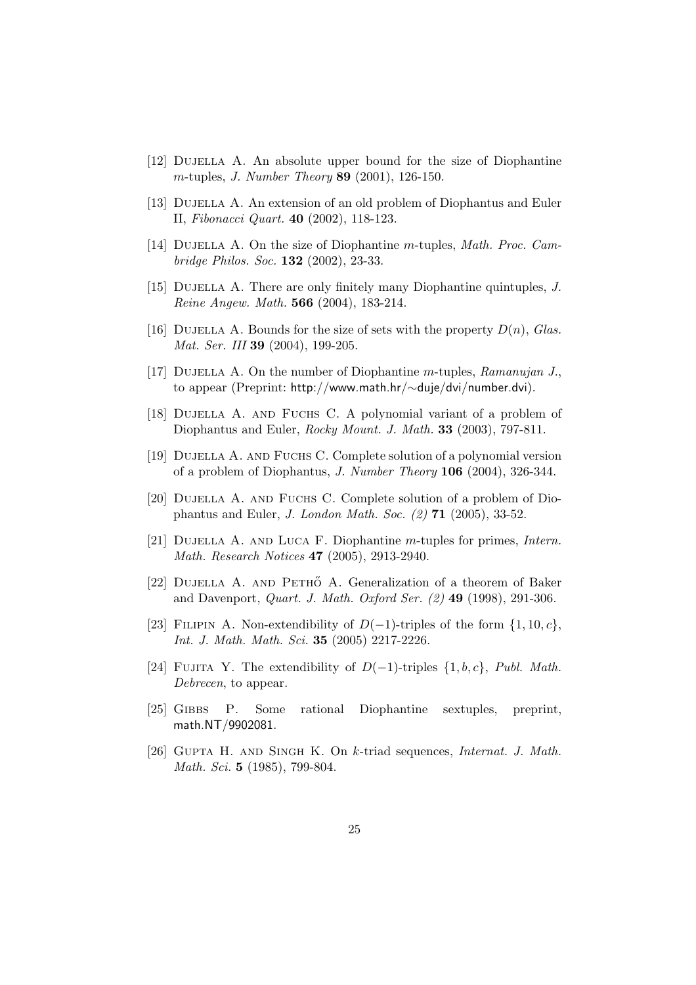- [12] Dujella A. An absolute upper bound for the size of Diophantine m-tuples, J. Number Theory 89 (2001), 126-150.
- [13] DUJELLA A. An extension of an old problem of Diophantus and Euler II, Fibonacci Quart. 40 (2002), 118-123.
- [14] DUJELLA A. On the size of Diophantine m-tuples, Math. Proc. Cambridge Philos. Soc. 132 (2002), 23-33.
- [15] DUJELLA A. There are only finitely many Diophantine quintuples, J. Reine Angew. Math. 566 (2004), 183-214.
- [16] DUJELLA A. Bounds for the size of sets with the property  $D(n)$ , Glas. Mat. Ser. III **39** (2004), 199-205.
- [17] DUJELLA A. On the number of Diophantine m-tuples,  $Ramanujan J$ . to appear (Preprint: http://www.math.hr/∼duje/dvi/number.dvi).
- [18] DUJELLA A. AND FUCHS C. A polynomial variant of a problem of Diophantus and Euler, Rocky Mount. J. Math. 33 (2003), 797-811.
- [19] DUJELLA A. AND FUCHS C. Complete solution of a polynomial version of a problem of Diophantus, J. Number Theory 106 (2004), 326-344.
- [20] DUJELLA A. AND FUCHS C. Complete solution of a problem of Diophantus and Euler, J. London Math. Soc. (2) 71 (2005), 33-52.
- [21] Dujella A. and Luca F. Diophantine m-tuples for primes, Intern. Math. Research Notices 47 (2005), 2913-2940.
- [22] DUJELLA A. AND PETHO A. Generalization of a theorem of Baker and Davenport, Quart. J. Math. Oxford Ser. (2) 49 (1998), 291-306.
- [23] FILIPIN A. Non-extendibility of  $D(-1)$ -triples of the form  $\{1, 10, c\}$ , Int. J. Math. Math. Sci. 35 (2005) 2217-2226.
- [24] FUJITA Y. The extendibility of  $D(-1)$ -triples  $\{1, b, c\}$ , Publ. Math. Debrecen, to appear.
- [25] Gibbs P. Some rational Diophantine sextuples, preprint, math.NT/9902081.
- [26] Gupta H. and Singh K. On k-triad sequences, Internat. J. Math. Math. Sci. 5 (1985), 799-804.